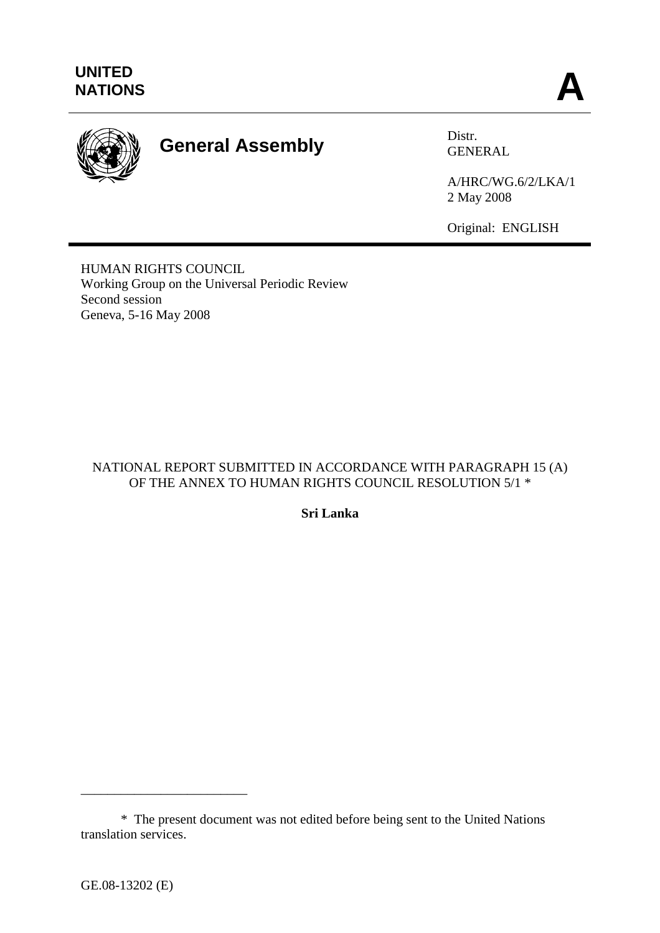

# **General Assembly** Distr.

GENERAL

A/HRC/WG.6/2/LKA/1 2 May 2008

Original: ENGLISH

HUMAN RIGHTS COUNCIL Working Group on the Universal Periodic Review Second session Geneva, 5-16 May 2008

# NATIONAL REPORT SUBMITTED IN ACCORDANCE WITH PARAGRAPH 15 (A) OF THE ANNEX TO HUMAN RIGHTS COUNCIL RESOLUTION 5/1  $\ast$

**Sri Lanka** 

\_\_\_\_\_\_\_\_\_\_\_\_\_\_\_\_\_\_\_\_\_\_\_\_\_

 <sup>\*</sup> The present document was not edited before being sent to the United Nations translation services.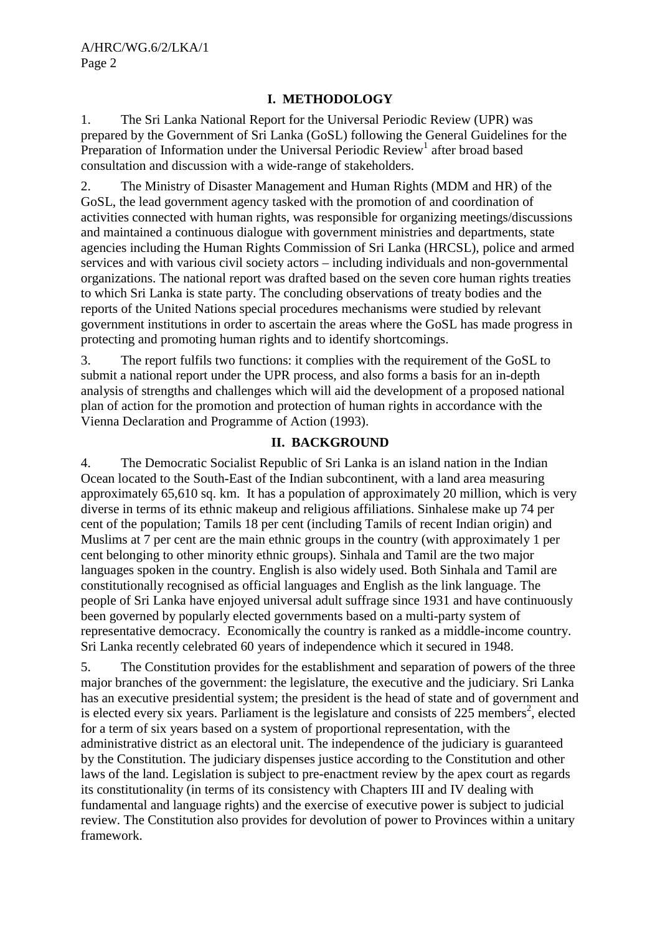#### **I. METHODOLOGY**

1. The Sri Lanka National Report for the Universal Periodic Review (UPR) was prepared by the Government of Sri Lanka (GoSL) following the General Guidelines for the Preparation of Information under the Universal Periodic Review<sup>1</sup> after broad based consultation and discussion with a wide-range of stakeholders.

2. The Ministry of Disaster Management and Human Rights (MDM and HR) of the GoSL, the lead government agency tasked with the promotion of and coordination of activities connected with human rights, was responsible for organizing meetings/discussions and maintained a continuous dialogue with government ministries and departments, state agencies including the Human Rights Commission of Sri Lanka (HRCSL), police and armed services and with various civil society actors – including individuals and non-governmental organizations. The national report was drafted based on the seven core human rights treaties to which Sri Lanka is state party. The concluding observations of treaty bodies and the reports of the United Nations special procedures mechanisms were studied by relevant government institutions in order to ascertain the areas where the GoSL has made progress in protecting and promoting human rights and to identify shortcomings.

3. The report fulfils two functions: it complies with the requirement of the GoSL to submit a national report under the UPR process, and also forms a basis for an in-depth analysis of strengths and challenges which will aid the development of a proposed national plan of action for the promotion and protection of human rights in accordance with the Vienna Declaration and Programme of Action (1993).

# **II. BACKGROUND**

4. The Democratic Socialist Republic of Sri Lanka is an island nation in the Indian Ocean located to the South-East of the Indian subcontinent, with a land area measuring approximately 65,610 sq. km. It has a population of approximately 20 million, which is very diverse in terms of its ethnic makeup and religious affiliations. Sinhalese make up 74 per cent of the population; Tamils 18 per cent (including Tamils of recent Indian origin) and Muslims at 7 per cent are the main ethnic groups in the country (with approximately 1 per cent belonging to other minority ethnic groups). Sinhala and Tamil are the two major languages spoken in the country. English is also widely used. Both Sinhala and Tamil are constitutionally recognised as official languages and English as the link language. The people of Sri Lanka have enjoyed universal adult suffrage since 1931 and have continuously been governed by popularly elected governments based on a multi-party system of representative democracy. Economically the country is ranked as a middle-income country. Sri Lanka recently celebrated 60 years of independence which it secured in 1948.

5. The Constitution provides for the establishment and separation of powers of the three major branches of the government: the legislature, the executive and the judiciary. Sri Lanka has an executive presidential system; the president is the head of state and of government and is elected every six years. Parliament is the legislature and consists of  $225$  members<sup>2</sup>, elected for a term of six years based on a system of proportional representation, with the administrative district as an electoral unit. The independence of the judiciary is guaranteed by the Constitution. The judiciary dispenses justice according to the Constitution and other laws of the land. Legislation is subject to pre-enactment review by the apex court as regards its constitutionality (in terms of its consistency with Chapters III and IV dealing with fundamental and language rights) and the exercise of executive power is subject to judicial review. The Constitution also provides for devolution of power to Provinces within a unitary framework.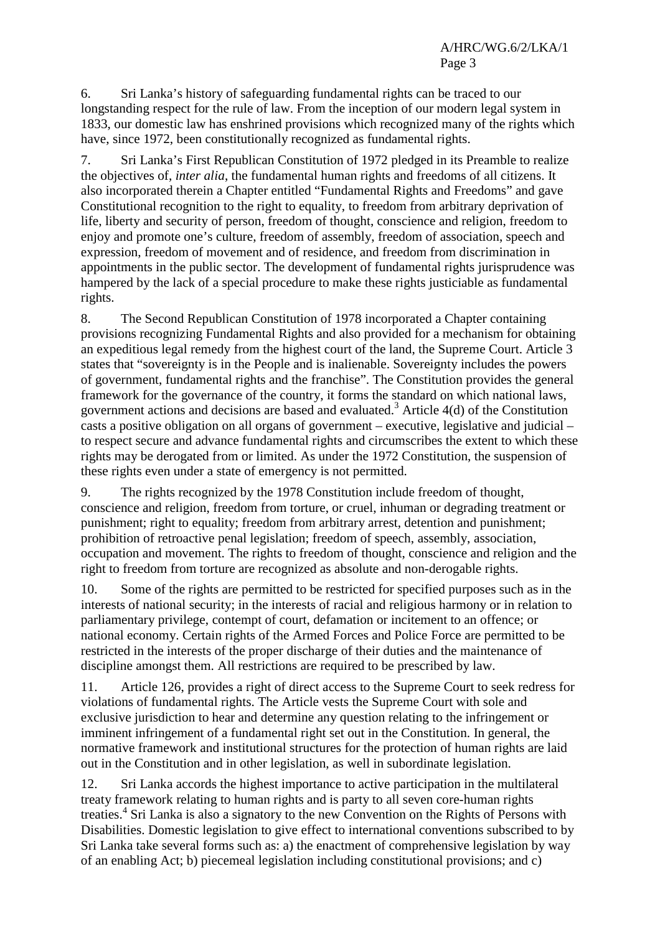6. Sri Lanka's history of safeguarding fundamental rights can be traced to our longstanding respect for the rule of law. From the inception of our modern legal system in 1833, our domestic law has enshrined provisions which recognized many of the rights which have, since 1972, been constitutionally recognized as fundamental rights.

7. Sri Lanka's First Republican Constitution of 1972 pledged in its Preamble to realize the objectives of, *inter alia*, the fundamental human rights and freedoms of all citizens. It also incorporated therein a Chapter entitled "Fundamental Rights and Freedoms" and gave Constitutional recognition to the right to equality, to freedom from arbitrary deprivation of life, liberty and security of person, freedom of thought, conscience and religion, freedom to enjoy and promote one's culture, freedom of assembly, freedom of association, speech and expression, freedom of movement and of residence, and freedom from discrimination in appointments in the public sector. The development of fundamental rights jurisprudence was hampered by the lack of a special procedure to make these rights justiciable as fundamental rights.

8. The Second Republican Constitution of 1978 incorporated a Chapter containing provisions recognizing Fundamental Rights and also provided for a mechanism for obtaining an expeditious legal remedy from the highest court of the land, the Supreme Court. Article 3 states that "sovereignty is in the People and is inalienable. Sovereignty includes the powers of government, fundamental rights and the franchise". The Constitution provides the general framework for the governance of the country, it forms the standard on which national laws, government actions and decisions are based and evaluated.<sup>3</sup> Article  $4(d)$  of the Constitution casts a positive obligation on all organs of government – executive, legislative and judicial – to respect secure and advance fundamental rights and circumscribes the extent to which these rights may be derogated from or limited. As under the 1972 Constitution, the suspension of these rights even under a state of emergency is not permitted.

9. The rights recognized by the 1978 Constitution include freedom of thought, conscience and religion, freedom from torture, or cruel, inhuman or degrading treatment or punishment; right to equality; freedom from arbitrary arrest, detention and punishment; prohibition of retroactive penal legislation; freedom of speech, assembly, association, occupation and movement. The rights to freedom of thought, conscience and religion and the right to freedom from torture are recognized as absolute and non-derogable rights.

10. Some of the rights are permitted to be restricted for specified purposes such as in the interests of national security; in the interests of racial and religious harmony or in relation to parliamentary privilege, contempt of court, defamation or incitement to an offence; or national economy. Certain rights of the Armed Forces and Police Force are permitted to be restricted in the interests of the proper discharge of their duties and the maintenance of discipline amongst them. All restrictions are required to be prescribed by law.

11. Article 126, provides a right of direct access to the Supreme Court to seek redress for violations of fundamental rights. The Article vests the Supreme Court with sole and exclusive jurisdiction to hear and determine any question relating to the infringement or imminent infringement of a fundamental right set out in the Constitution. In general, the normative framework and institutional structures for the protection of human rights are laid out in the Constitution and in other legislation, as well in subordinate legislation.

12. Sri Lanka accords the highest importance to active participation in the multilateral treaty framework relating to human rights and is party to all seven core-human rights treaties.<sup>4</sup> Sri Lanka is also a signatory to the new Convention on the Rights of Persons with Disabilities. Domestic legislation to give effect to international conventions subscribed to by Sri Lanka take several forms such as: a) the enactment of comprehensive legislation by way of an enabling Act; b) piecemeal legislation including constitutional provisions; and c)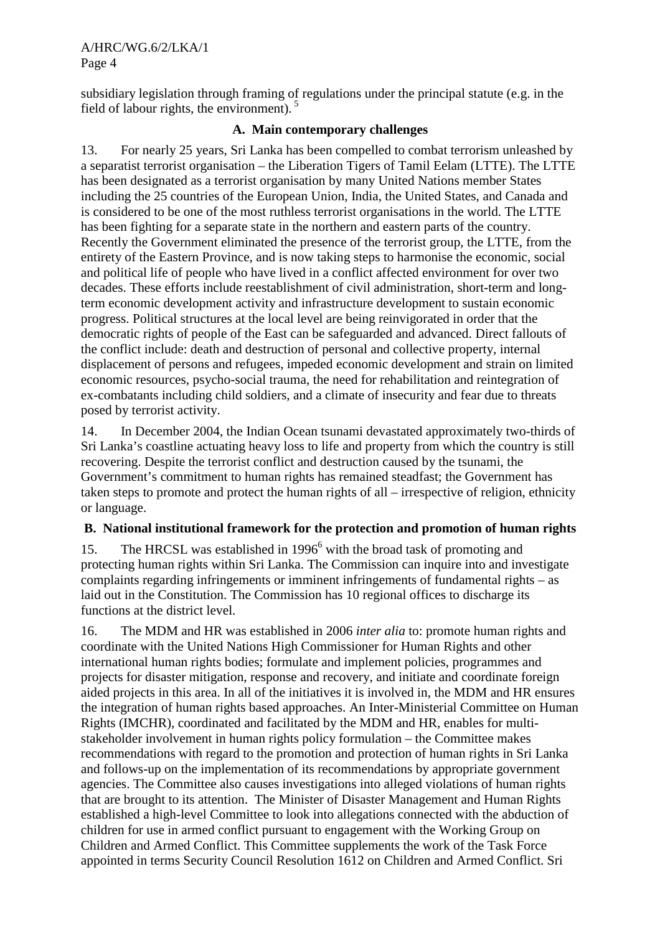subsidiary legislation through framing of regulations under the principal statute (e.g. in the field of labour rights, the environment).  $5$ 

#### **A. Main contemporary challenges**

13. For nearly 25 years, Sri Lanka has been compelled to combat terrorism unleashed by a separatist terrorist organisation – the Liberation Tigers of Tamil Eelam (LTTE). The LTTE has been designated as a terrorist organisation by many United Nations member States including the 25 countries of the European Union, India, the United States, and Canada and is considered to be one of the most ruthless terrorist organisations in the world. The LTTE has been fighting for a separate state in the northern and eastern parts of the country. Recently the Government eliminated the presence of the terrorist group, the LTTE, from the entirety of the Eastern Province, and is now taking steps to harmonise the economic, social and political life of people who have lived in a conflict affected environment for over two decades. These efforts include reestablishment of civil administration, short-term and longterm economic development activity and infrastructure development to sustain economic progress. Political structures at the local level are being reinvigorated in order that the democratic rights of people of the East can be safeguarded and advanced. Direct fallouts of the conflict include: death and destruction of personal and collective property, internal displacement of persons and refugees, impeded economic development and strain on limited economic resources, psycho-social trauma, the need for rehabilitation and reintegration of ex-combatants including child soldiers, and a climate of insecurity and fear due to threats posed by terrorist activity.

14. In December 2004, the Indian Ocean tsunami devastated approximately two-thirds of Sri Lanka's coastline actuating heavy loss to life and property from which the country is still recovering. Despite the terrorist conflict and destruction caused by the tsunami, the Government's commitment to human rights has remained steadfast; the Government has taken steps to promote and protect the human rights of all – irrespective of religion, ethnicity or language.

#### **B. National institutional framework for the protection and promotion of human rights**

15. The HRCSL was established in 1996<sup>6</sup> with the broad task of promoting and protecting human rights within Sri Lanka. The Commission can inquire into and investigate complaints regarding infringements or imminent infringements of fundamental rights – as laid out in the Constitution. The Commission has 10 regional offices to discharge its functions at the district level.

16. The MDM and HR was established in 2006 *inter alia* to: promote human rights and coordinate with the United Nations High Commissioner for Human Rights and other international human rights bodies; formulate and implement policies, programmes and projects for disaster mitigation, response and recovery, and initiate and coordinate foreign aided projects in this area. In all of the initiatives it is involved in, the MDM and HR ensures the integration of human rights based approaches. An Inter-Ministerial Committee on Human Rights (IMCHR), coordinated and facilitated by the MDM and HR, enables for multistakeholder involvement in human rights policy formulation – the Committee makes recommendations with regard to the promotion and protection of human rights in Sri Lanka and follows-up on the implementation of its recommendations by appropriate government agencies. The Committee also causes investigations into alleged violations of human rights that are brought to its attention. The Minister of Disaster Management and Human Rights established a high-level Committee to look into allegations connected with the abduction of children for use in armed conflict pursuant to engagement with the Working Group on Children and Armed Conflict. This Committee supplements the work of the Task Force appointed in terms Security Council Resolution 1612 on Children and Armed Conflict. Sri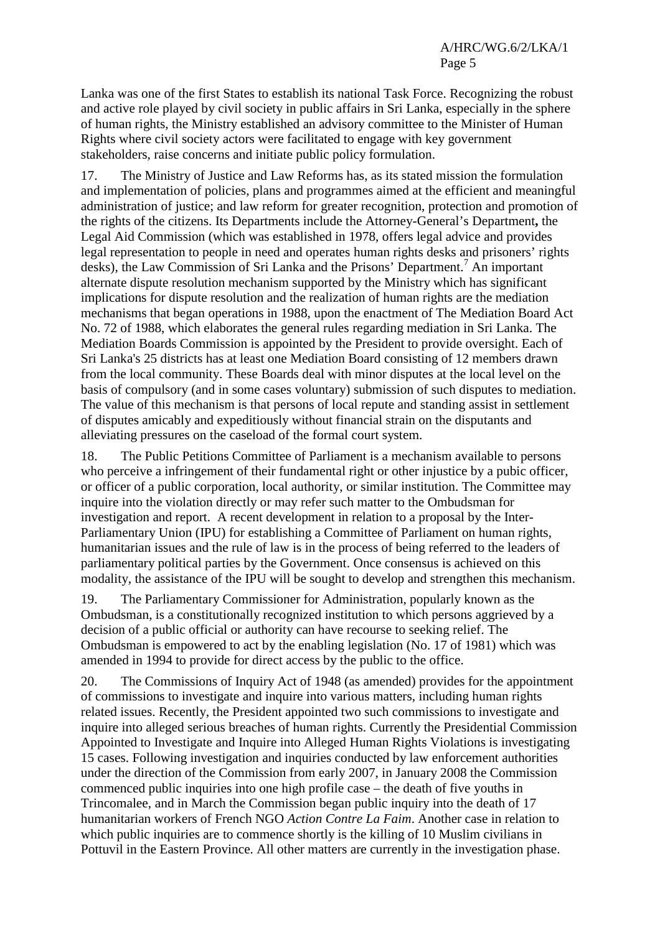Lanka was one of the first States to establish its national Task Force. Recognizing the robust and active role played by civil society in public affairs in Sri Lanka, especially in the sphere of human rights, the Ministry established an advisory committee to the Minister of Human Rights where civil society actors were facilitated to engage with key government stakeholders, raise concerns and initiate public policy formulation.

17. The Ministry of Justice and Law Reforms has, as its stated mission the formulation and implementation of policies, plans and programmes aimed at the efficient and meaningful administration of justice; and law reform for greater recognition, protection and promotion of the rights of the citizens. Its Departments include the Attorney-General's Department**,** the Legal Aid Commission (which was established in 1978, offers legal advice and provides legal representation to people in need and operates human rights desks and prisoners' rights desks), the Law Commission of Sri Lanka and the Prisons' Department.<sup>7</sup> An important alternate dispute resolution mechanism supported by the Ministry which has significant implications for dispute resolution and the realization of human rights are the mediation mechanisms that began operations in 1988, upon the enactment of The Mediation Board Act No. 72 of 1988, which elaborates the general rules regarding mediation in Sri Lanka. The Mediation Boards Commission is appointed by the President to provide oversight. Each of Sri Lanka's 25 districts has at least one Mediation Board consisting of 12 members drawn from the local community. These Boards deal with minor disputes at the local level on the basis of compulsory (and in some cases voluntary) submission of such disputes to mediation. The value of this mechanism is that persons of local repute and standing assist in settlement of disputes amicably and expeditiously without financial strain on the disputants and alleviating pressures on the caseload of the formal court system.

18. The Public Petitions Committee of Parliament is a mechanism available to persons who perceive a infringement of their fundamental right or other injustice by a pubic officer, or officer of a public corporation, local authority, or similar institution. The Committee may inquire into the violation directly or may refer such matter to the Ombudsman for investigation and report. A recent development in relation to a proposal by the Inter-Parliamentary Union (IPU) for establishing a Committee of Parliament on human rights, humanitarian issues and the rule of law is in the process of being referred to the leaders of parliamentary political parties by the Government. Once consensus is achieved on this modality, the assistance of the IPU will be sought to develop and strengthen this mechanism.

19. The Parliamentary Commissioner for Administration, popularly known as the Ombudsman, is a constitutionally recognized institution to which persons aggrieved by a decision of a public official or authority can have recourse to seeking relief. The Ombudsman is empowered to act by the enabling legislation (No. 17 of 1981) which was amended in 1994 to provide for direct access by the public to the office.

20. The Commissions of Inquiry Act of 1948 (as amended) provides for the appointment of commissions to investigate and inquire into various matters, including human rights related issues. Recently, the President appointed two such commissions to investigate and inquire into alleged serious breaches of human rights. Currently the Presidential Commission Appointed to Investigate and Inquire into Alleged Human Rights Violations is investigating 15 cases. Following investigation and inquiries conducted by law enforcement authorities under the direction of the Commission from early 2007, in January 2008 the Commission commenced public inquiries into one high profile case – the death of five youths in Trincomalee, and in March the Commission began public inquiry into the death of 17 humanitarian workers of French NGO *Action Contre La Faim*. Another case in relation to which public inquiries are to commence shortly is the killing of 10 Muslim civilians in Pottuvil in the Eastern Province. All other matters are currently in the investigation phase.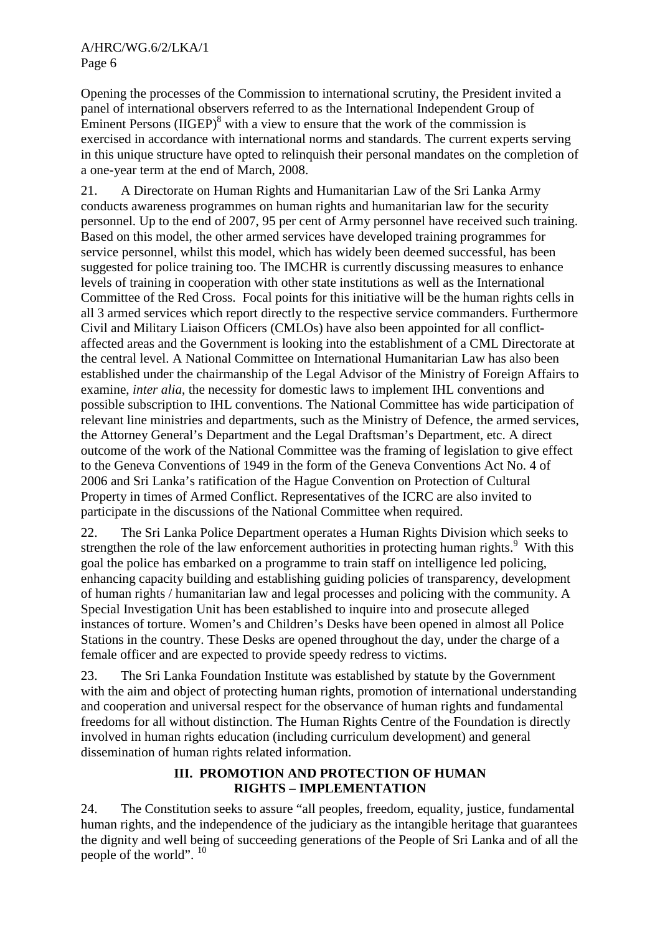Opening the processes of the Commission to international scrutiny, the President invited a panel of international observers referred to as the International Independent Group of Eminent Persons  $(IIGEP)^8$  with a view to ensure that the work of the commission is exercised in accordance with international norms and standards. The current experts serving in this unique structure have opted to relinquish their personal mandates on the completion of a one-year term at the end of March, 2008.

21. A Directorate on Human Rights and Humanitarian Law of the Sri Lanka Army conducts awareness programmes on human rights and humanitarian law for the security personnel. Up to the end of 2007, 95 per cent of Army personnel have received such training. Based on this model, the other armed services have developed training programmes for service personnel, whilst this model, which has widely been deemed successful, has been suggested for police training too. The IMCHR is currently discussing measures to enhance levels of training in cooperation with other state institutions as well as the International Committee of the Red Cross. Focal points for this initiative will be the human rights cells in all 3 armed services which report directly to the respective service commanders. Furthermore Civil and Military Liaison Officers (CMLOs) have also been appointed for all conflictaffected areas and the Government is looking into the establishment of a CML Directorate at the central level. A National Committee on International Humanitarian Law has also been established under the chairmanship of the Legal Advisor of the Ministry of Foreign Affairs to examine, *inter alia*, the necessity for domestic laws to implement IHL conventions and possible subscription to IHL conventions. The National Committee has wide participation of relevant line ministries and departments, such as the Ministry of Defence, the armed services, the Attorney General's Department and the Legal Draftsman's Department, etc. A direct outcome of the work of the National Committee was the framing of legislation to give effect to the Geneva Conventions of 1949 in the form of the Geneva Conventions Act No. 4 of 2006 and Sri Lanka's ratification of the Hague Convention on Protection of Cultural Property in times of Armed Conflict. Representatives of the ICRC are also invited to participate in the discussions of the National Committee when required.

22. The Sri Lanka Police Department operates a Human Rights Division which seeks to strengthen the role of the law enforcement authorities in protecting human rights.<sup>9</sup> With this goal the police has embarked on a programme to train staff on intelligence led policing, enhancing capacity building and establishing guiding policies of transparency, development of human rights / humanitarian law and legal processes and policing with the community. A Special Investigation Unit has been established to inquire into and prosecute alleged instances of torture. Women's and Children's Desks have been opened in almost all Police Stations in the country. These Desks are opened throughout the day, under the charge of a female officer and are expected to provide speedy redress to victims.

23. The Sri Lanka Foundation Institute was established by statute by the Government with the aim and object of protecting human rights, promotion of international understanding and cooperation and universal respect for the observance of human rights and fundamental freedoms for all without distinction. The Human Rights Centre of the Foundation is directly involved in human rights education (including curriculum development) and general dissemination of human rights related information.

# **III. PROMOTION AND PROTECTION OF HUMAN RIGHTS – IMPLEMENTATION**

24. The Constitution seeks to assure "all peoples, freedom, equality, justice, fundamental human rights, and the independence of the judiciary as the intangible heritage that guarantees the dignity and well being of succeeding generations of the People of Sri Lanka and of all the people of the world". <sup>10</sup>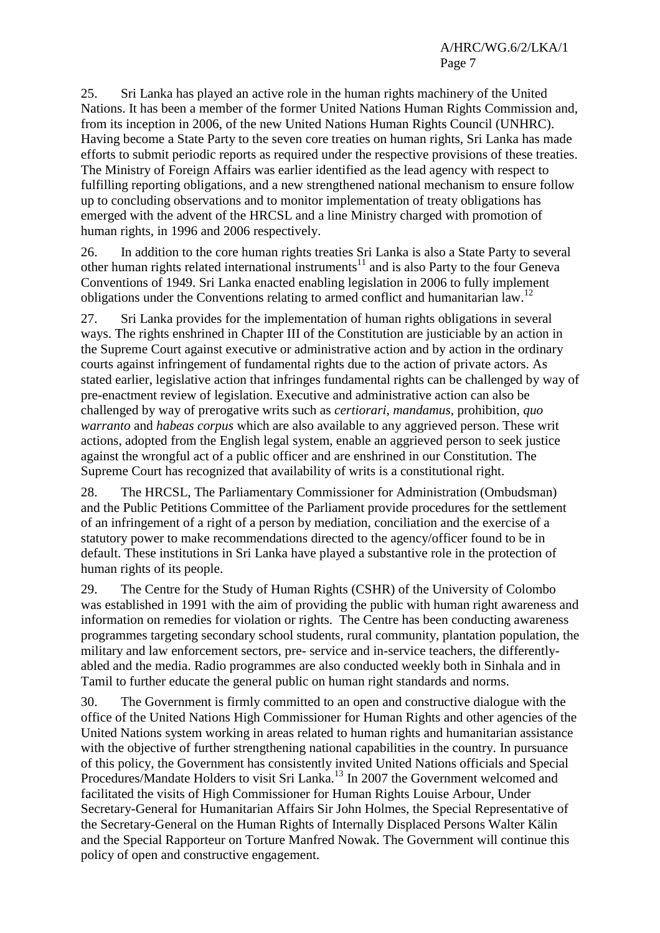25. Sri Lanka has played an active role in the human rights machinery of the United Nations. It has been a member of the former United Nations Human Rights Commission and, from its inception in 2006, of the new United Nations Human Rights Council (UNHRC). Having become a State Party to the seven core treaties on human rights, Sri Lanka has made efforts to submit periodic reports as required under the respective provisions of these treaties. The Ministry of Foreign Affairs was earlier identified as the lead agency with respect to fulfilling reporting obligations, and a new strengthened national mechanism to ensure follow up to concluding observations and to monitor implementation of treaty obligations has emerged with the advent of the HRCSL and a line Ministry charged with promotion of human rights, in 1996 and 2006 respectively.

26. In addition to the core human rights treaties Sri Lanka is also a State Party to several other human rights related international instruments<sup>11</sup> and is also Party to the four Geneva Conventions of 1949. Sri Lanka enacted enabling legislation in 2006 to fully implement obligations under the Conventions relating to armed conflict and humanitarian law.12

27. Sri Lanka provides for the implementation of human rights obligations in several ways. The rights enshrined in Chapter III of the Constitution are justiciable by an action in the Supreme Court against executive or administrative action and by action in the ordinary courts against infringement of fundamental rights due to the action of private actors. As stated earlier, legislative action that infringes fundamental rights can be challenged by way of pre-enactment review of legislation. Executive and administrative action can also be challenged by way of prerogative writs such as *certiorari*, *mandamus*, prohibition, *quo warranto* and *habeas corpus* which are also available to any aggrieved person. These writ actions, adopted from the English legal system, enable an aggrieved person to seek justice against the wrongful act of a public officer and are enshrined in our Constitution. The Supreme Court has recognized that availability of writs is a constitutional right.

28. The HRCSL, The Parliamentary Commissioner for Administration (Ombudsman) and the Public Petitions Committee of the Parliament provide procedures for the settlement of an infringement of a right of a person by mediation, conciliation and the exercise of a statutory power to make recommendations directed to the agency/officer found to be in default. These institutions in Sri Lanka have played a substantive role in the protection of human rights of its people.

29. The Centre for the Study of Human Rights (CSHR) of the University of Colombo was established in 1991 with the aim of providing the public with human right awareness and information on remedies for violation or rights. The Centre has been conducting awareness programmes targeting secondary school students, rural community, plantation population, the military and law enforcement sectors, pre- service and in-service teachers, the differentlyabled and the media. Radio programmes are also conducted weekly both in Sinhala and in Tamil to further educate the general public on human right standards and norms.

30. The Government is firmly committed to an open and constructive dialogue with the office of the United Nations High Commissioner for Human Rights and other agencies of the United Nations system working in areas related to human rights and humanitarian assistance with the objective of further strengthening national capabilities in the country. In pursuance of this policy, the Government has consistently invited United Nations officials and Special Procedures/Mandate Holders to visit Sri Lanka.<sup>13</sup> In 2007 the Government welcomed and facilitated the visits of High Commissioner for Human Rights Louise Arbour, Under Secretary-General for Humanitarian Affairs Sir John Holmes, the Special Representative of the Secretary-General on the Human Rights of Internally Displaced Persons Walter Kälin and the Special Rapporteur on Torture Manfred Nowak. The Government will continue this policy of open and constructive engagement.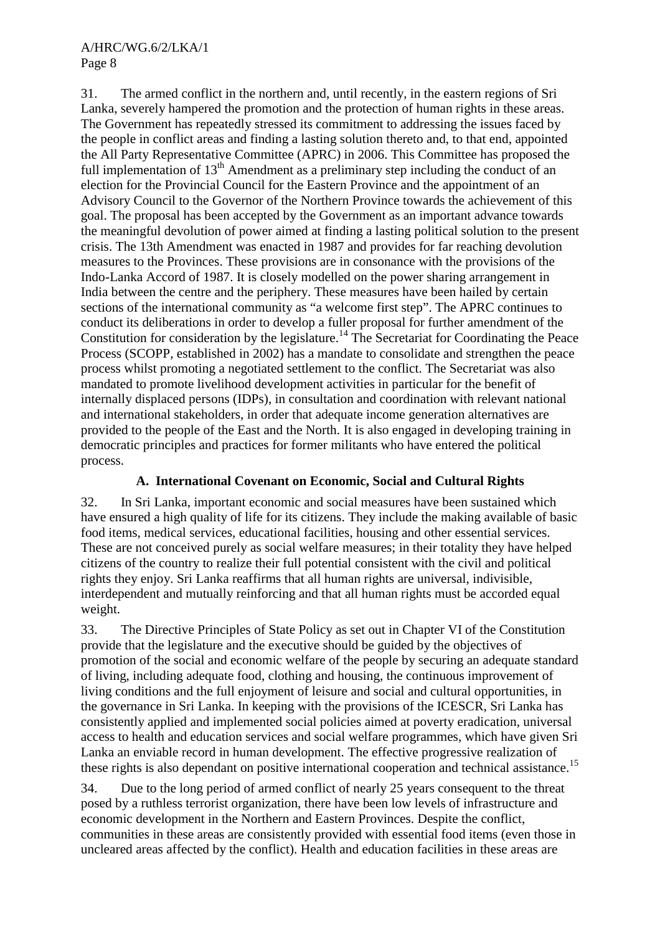31. The armed conflict in the northern and, until recently, in the eastern regions of Sri Lanka, severely hampered the promotion and the protection of human rights in these areas. The Government has repeatedly stressed its commitment to addressing the issues faced by the people in conflict areas and finding a lasting solution thereto and, to that end, appointed the All Party Representative Committee (APRC) in 2006. This Committee has proposed the full implementation of  $13<sup>th</sup>$  Amendment as a preliminary step including the conduct of an election for the Provincial Council for the Eastern Province and the appointment of an Advisory Council to the Governor of the Northern Province towards the achievement of this goal. The proposal has been accepted by the Government as an important advance towards the meaningful devolution of power aimed at finding a lasting political solution to the present crisis. The 13th Amendment was enacted in 1987 and provides for far reaching devolution measures to the Provinces. These provisions are in consonance with the provisions of the Indo-Lanka Accord of 1987. It is closely modelled on the power sharing arrangement in India between the centre and the periphery. These measures have been hailed by certain sections of the international community as "a welcome first step". The APRC continues to conduct its deliberations in order to develop a fuller proposal for further amendment of the Constitution for consideration by the legislature.<sup>14</sup> The Secretariat for Coordinating the Peace Process (SCOPP, established in 2002) has a mandate to consolidate and strengthen the peace process whilst promoting a negotiated settlement to the conflict. The Secretariat was also mandated to promote livelihood development activities in particular for the benefit of internally displaced persons (IDPs), in consultation and coordination with relevant national and international stakeholders, in order that adequate income generation alternatives are provided to the people of the East and the North. It is also engaged in developing training in democratic principles and practices for former militants who have entered the political process.

#### **A. International Covenant on Economic, Social and Cultural Rights**

32. In Sri Lanka, important economic and social measures have been sustained which have ensured a high quality of life for its citizens. They include the making available of basic food items, medical services, educational facilities, housing and other essential services. These are not conceived purely as social welfare measures; in their totality they have helped citizens of the country to realize their full potential consistent with the civil and political rights they enjoy. Sri Lanka reaffirms that all human rights are universal, indivisible, interdependent and mutually reinforcing and that all human rights must be accorded equal weight.

33. The Directive Principles of State Policy as set out in Chapter VI of the Constitution provide that the legislature and the executive should be guided by the objectives of promotion of the social and economic welfare of the people by securing an adequate standard of living, including adequate food, clothing and housing, the continuous improvement of living conditions and the full enjoyment of leisure and social and cultural opportunities, in the governance in Sri Lanka. In keeping with the provisions of the ICESCR, Sri Lanka has consistently applied and implemented social policies aimed at poverty eradication, universal access to health and education services and social welfare programmes, which have given Sri Lanka an enviable record in human development. The effective progressive realization of these rights is also dependant on positive international cooperation and technical assistance.<sup>15</sup>

34. Due to the long period of armed conflict of nearly 25 years consequent to the threat posed by a ruthless terrorist organization, there have been low levels of infrastructure and economic development in the Northern and Eastern Provinces. Despite the conflict, communities in these areas are consistently provided with essential food items (even those in uncleared areas affected by the conflict). Health and education facilities in these areas are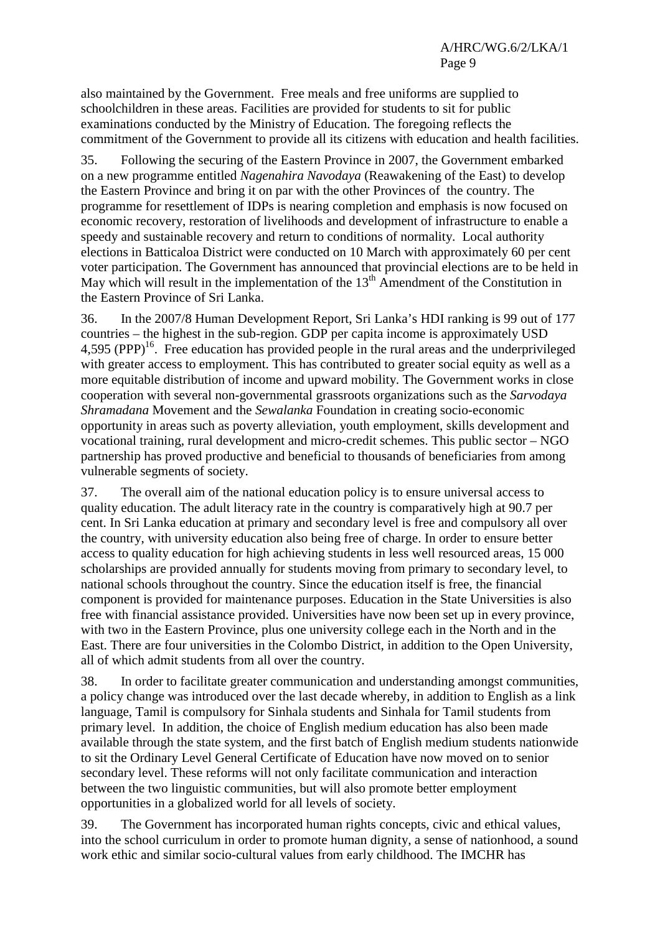also maintained by the Government. Free meals and free uniforms are supplied to schoolchildren in these areas. Facilities are provided for students to sit for public examinations conducted by the Ministry of Education. The foregoing reflects the commitment of the Government to provide all its citizens with education and health facilities.

35. Following the securing of the Eastern Province in 2007, the Government embarked on a new programme entitled *Nagenahira Navodaya* (Reawakening of the East) to develop the Eastern Province and bring it on par with the other Provinces of the country. The programme for resettlement of IDPs is nearing completion and emphasis is now focused on economic recovery, restoration of livelihoods and development of infrastructure to enable a speedy and sustainable recovery and return to conditions of normality. Local authority elections in Batticaloa District were conducted on 10 March with approximately 60 per cent voter participation. The Government has announced that provincial elections are to be held in May which will result in the implementation of the  $13<sup>th</sup>$  Amendment of the Constitution in the Eastern Province of Sri Lanka.

36. In the 2007/8 Human Development Report, Sri Lanka's HDI ranking is 99 out of 177 countries – the highest in the sub-region. GDP per capita income is approximately USD 4,595 (PPP)<sup>16</sup>. Free education has provided people in the rural areas and the underprivileged with greater access to employment. This has contributed to greater social equity as well as a more equitable distribution of income and upward mobility. The Government works in close cooperation with several non-governmental grassroots organizations such as the *Sarvodaya Shramadana* Movement and the *Sewalanka* Foundation in creating socio-economic opportunity in areas such as poverty alleviation, youth employment, skills development and vocational training, rural development and micro-credit schemes. This public sector – NGO partnership has proved productive and beneficial to thousands of beneficiaries from among vulnerable segments of society.

37. The overall aim of the national education policy is to ensure universal access to quality education. The adult literacy rate in the country is comparatively high at 90.7 per cent. In Sri Lanka education at primary and secondary level is free and compulsory all over the country, with university education also being free of charge. In order to ensure better access to quality education for high achieving students in less well resourced areas, 15 000 scholarships are provided annually for students moving from primary to secondary level, to national schools throughout the country. Since the education itself is free, the financial component is provided for maintenance purposes. Education in the State Universities is also free with financial assistance provided. Universities have now been set up in every province, with two in the Eastern Province, plus one university college each in the North and in the East. There are four universities in the Colombo District, in addition to the Open University, all of which admit students from all over the country.

38. In order to facilitate greater communication and understanding amongst communities, a policy change was introduced over the last decade whereby, in addition to English as a link language, Tamil is compulsory for Sinhala students and Sinhala for Tamil students from primary level. In addition, the choice of English medium education has also been made available through the state system, and the first batch of English medium students nationwide to sit the Ordinary Level General Certificate of Education have now moved on to senior secondary level. These reforms will not only facilitate communication and interaction between the two linguistic communities, but will also promote better employment opportunities in a globalized world for all levels of society.

39. The Government has incorporated human rights concepts, civic and ethical values, into the school curriculum in order to promote human dignity, a sense of nationhood, a sound work ethic and similar socio-cultural values from early childhood. The IMCHR has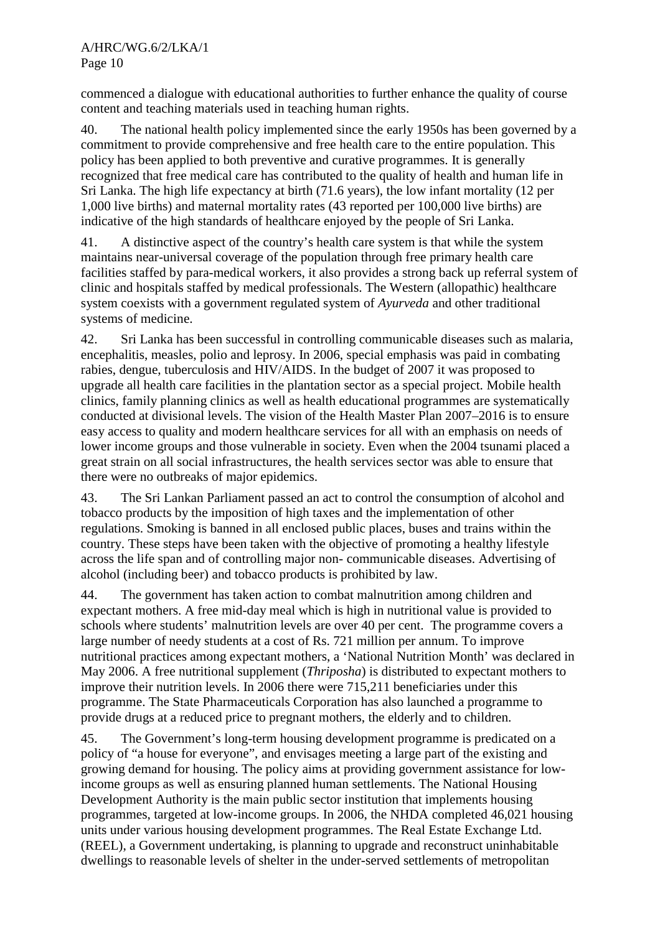commenced a dialogue with educational authorities to further enhance the quality of course content and teaching materials used in teaching human rights.

40. The national health policy implemented since the early 1950s has been governed by a commitment to provide comprehensive and free health care to the entire population. This policy has been applied to both preventive and curative programmes. It is generally recognized that free medical care has contributed to the quality of health and human life in Sri Lanka. The high life expectancy at birth (71.6 years), the low infant mortality (12 per 1,000 live births) and maternal mortality rates (43 reported per 100,000 live births) are indicative of the high standards of healthcare enjoyed by the people of Sri Lanka.

41. A distinctive aspect of the country's health care system is that while the system maintains near-universal coverage of the population through free primary health care facilities staffed by para-medical workers, it also provides a strong back up referral system of clinic and hospitals staffed by medical professionals. The Western (allopathic) healthcare system coexists with a government regulated system of *Ayurveda* and other traditional systems of medicine.

42. Sri Lanka has been successful in controlling communicable diseases such as malaria, encephalitis, measles, polio and leprosy. In 2006, special emphasis was paid in combating rabies, dengue, tuberculosis and HIV/AIDS. In the budget of 2007 it was proposed to upgrade all health care facilities in the plantation sector as a special project. Mobile health clinics, family planning clinics as well as health educational programmes are systematically conducted at divisional levels. The vision of the Health Master Plan 2007–2016 is to ensure easy access to quality and modern healthcare services for all with an emphasis on needs of lower income groups and those vulnerable in society. Even when the 2004 tsunami placed a great strain on all social infrastructures, the health services sector was able to ensure that there were no outbreaks of major epidemics.

43. The Sri Lankan Parliament passed an act to control the consumption of alcohol and tobacco products by the imposition of high taxes and the implementation of other regulations. Smoking is banned in all enclosed public places, buses and trains within the country. These steps have been taken with the objective of promoting a healthy lifestyle across the life span and of controlling major non- communicable diseases. Advertising of alcohol (including beer) and tobacco products is prohibited by law.

44. The government has taken action to combat malnutrition among children and expectant mothers. A free mid-day meal which is high in nutritional value is provided to schools where students' malnutrition levels are over 40 per cent. The programme covers a large number of needy students at a cost of Rs. 721 million per annum. To improve nutritional practices among expectant mothers, a 'National Nutrition Month' was declared in May 2006. A free nutritional supplement (*Thriposha*) is distributed to expectant mothers to improve their nutrition levels. In 2006 there were 715,211 beneficiaries under this programme. The State Pharmaceuticals Corporation has also launched a programme to provide drugs at a reduced price to pregnant mothers, the elderly and to children.

45. The Government's long-term housing development programme is predicated on a policy of "a house for everyone", and envisages meeting a large part of the existing and growing demand for housing. The policy aims at providing government assistance for lowincome groups as well as ensuring planned human settlements. The National Housing Development Authority is the main public sector institution that implements housing programmes, targeted at low-income groups. In 2006, the NHDA completed 46,021 housing units under various housing development programmes. The Real Estate Exchange Ltd. (REEL), a Government undertaking, is planning to upgrade and reconstruct uninhabitable dwellings to reasonable levels of shelter in the under-served settlements of metropolitan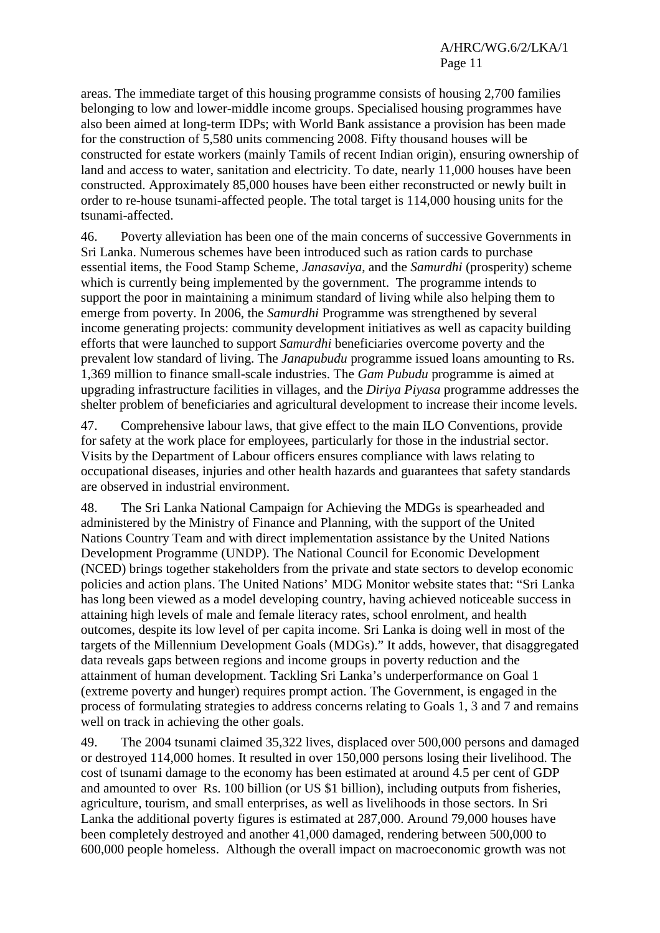areas. The immediate target of this housing programme consists of housing 2,700 families belonging to low and lower-middle income groups. Specialised housing programmes have also been aimed at long-term IDPs; with World Bank assistance a provision has been made for the construction of 5,580 units commencing 2008. Fifty thousand houses will be constructed for estate workers (mainly Tamils of recent Indian origin), ensuring ownership of land and access to water, sanitation and electricity. To date, nearly 11,000 houses have been constructed. Approximately 85,000 houses have been either reconstructed or newly built in order to re-house tsunami-affected people. The total target is 114,000 housing units for the tsunami-affected.

46. Poverty alleviation has been one of the main concerns of successive Governments in Sri Lanka. Numerous schemes have been introduced such as ration cards to purchase essential items, the Food Stamp Scheme, *Janasaviya*, and the *Samurdhi* (prosperity) scheme which is currently being implemented by the government. The programme intends to support the poor in maintaining a minimum standard of living while also helping them to emerge from poverty. In 2006, the *Samurdhi* Programme was strengthened by several income generating projects: community development initiatives as well as capacity building efforts that were launched to support *Samurdhi* beneficiaries overcome poverty and the prevalent low standard of living. The *Janapubudu* programme issued loans amounting to Rs. 1,369 million to finance small-scale industries. The *Gam Pubudu* programme is aimed at upgrading infrastructure facilities in villages, and the *Diriya Piyasa* programme addresses the shelter problem of beneficiaries and agricultural development to increase their income levels.

47. Comprehensive labour laws, that give effect to the main ILO Conventions, provide for safety at the work place for employees, particularly for those in the industrial sector. Visits by the Department of Labour officers ensures compliance with laws relating to occupational diseases, injuries and other health hazards and guarantees that safety standards are observed in industrial environment.

48. The Sri Lanka National Campaign for Achieving the MDGs is spearheaded and administered by the Ministry of Finance and Planning, with the support of the United Nations Country Team and with direct implementation assistance by the United Nations Development Programme (UNDP). The National Council for Economic Development (NCED) brings together stakeholders from the private and state sectors to develop economic policies and action plans. The United Nations' MDG Monitor website states that: "Sri Lanka has long been viewed as a model developing country, having achieved noticeable success in attaining high levels of male and female literacy rates, school enrolment, and health outcomes, despite its low level of per capita income. Sri Lanka is doing well in most of the targets of the Millennium Development Goals (MDGs)." It adds, however, that disaggregated data reveals gaps between regions and income groups in poverty reduction and the attainment of human development. Tackling Sri Lanka's underperformance on Goal 1 (extreme poverty and hunger) requires prompt action. The Government, is engaged in the process of formulating strategies to address concerns relating to Goals 1, 3 and 7 and remains well on track in achieving the other goals.

49. The 2004 tsunami claimed 35,322 lives, displaced over 500,000 persons and damaged or destroyed 114,000 homes. It resulted in over 150,000 persons losing their livelihood. The cost of tsunami damage to the economy has been estimated at around 4.5 per cent of GDP and amounted to over Rs. 100 billion (or US \$1 billion), including outputs from fisheries, agriculture, tourism, and small enterprises, as well as livelihoods in those sectors. In Sri Lanka the additional poverty figures is estimated at 287,000. Around 79,000 houses have been completely destroyed and another 41,000 damaged, rendering between 500,000 to 600,000 people homeless. Although the overall impact on macroeconomic growth was not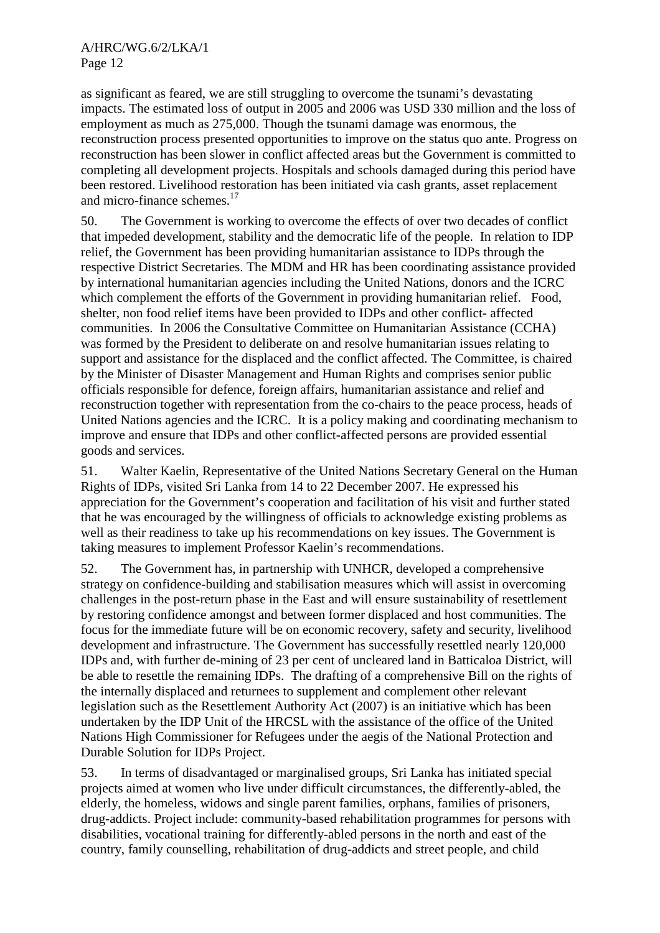as significant as feared, we are still struggling to overcome the tsunami's devastating impacts. The estimated loss of output in 2005 and 2006 was USD 330 million and the loss of employment as much as 275,000. Though the tsunami damage was enormous, the reconstruction process presented opportunities to improve on the status quo ante. Progress on reconstruction has been slower in conflict affected areas but the Government is committed to completing all development projects. Hospitals and schools damaged during this period have been restored. Livelihood restoration has been initiated via cash grants, asset replacement and micro-finance schemes.<sup>17</sup>

50. The Government is working to overcome the effects of over two decades of conflict that impeded development, stability and the democratic life of the people. In relation to IDP relief, the Government has been providing humanitarian assistance to IDPs through the respective District Secretaries. The MDM and HR has been coordinating assistance provided by international humanitarian agencies including the United Nations, donors and the ICRC which complement the efforts of the Government in providing humanitarian relief. Food, shelter, non food relief items have been provided to IDPs and other conflict- affected communities. In 2006 the Consultative Committee on Humanitarian Assistance (CCHA) was formed by the President to deliberate on and resolve humanitarian issues relating to support and assistance for the displaced and the conflict affected. The Committee, is chaired by the Minister of Disaster Management and Human Rights and comprises senior public officials responsible for defence, foreign affairs, humanitarian assistance and relief and reconstruction together with representation from the co-chairs to the peace process, heads of United Nations agencies and the ICRC. It is a policy making and coordinating mechanism to improve and ensure that IDPs and other conflict-affected persons are provided essential goods and services.

51. Walter Kaelin, Representative of the United Nations Secretary General on the Human Rights of IDPs, visited Sri Lanka from 14 to 22 December 2007. He expressed his appreciation for the Government's cooperation and facilitation of his visit and further stated that he was encouraged by the willingness of officials to acknowledge existing problems as well as their readiness to take up his recommendations on key issues. The Government is taking measures to implement Professor Kaelin's recommendations.

52. The Government has, in partnership with UNHCR, developed a comprehensive strategy on confidence-building and stabilisation measures which will assist in overcoming challenges in the post-return phase in the East and will ensure sustainability of resettlement by restoring confidence amongst and between former displaced and host communities. The focus for the immediate future will be on economic recovery, safety and security, livelihood development and infrastructure. The Government has successfully resettled nearly 120,000 IDPs and, with further de-mining of 23 per cent of uncleared land in Batticaloa District, will be able to resettle the remaining IDPs. The drafting of a comprehensive Bill on the rights of the internally displaced and returnees to supplement and complement other relevant legislation such as the Resettlement Authority Act (2007) is an initiative which has been undertaken by the IDP Unit of the HRCSL with the assistance of the office of the United Nations High Commissioner for Refugees under the aegis of the National Protection and Durable Solution for IDPs Project.

53. In terms of disadvantaged or marginalised groups, Sri Lanka has initiated special projects aimed at women who live under difficult circumstances, the differently-abled, the elderly, the homeless, widows and single parent families, orphans, families of prisoners, drug-addicts. Project include: community-based rehabilitation programmes for persons with disabilities, vocational training for differently-abled persons in the north and east of the country, family counselling, rehabilitation of drug-addicts and street people, and child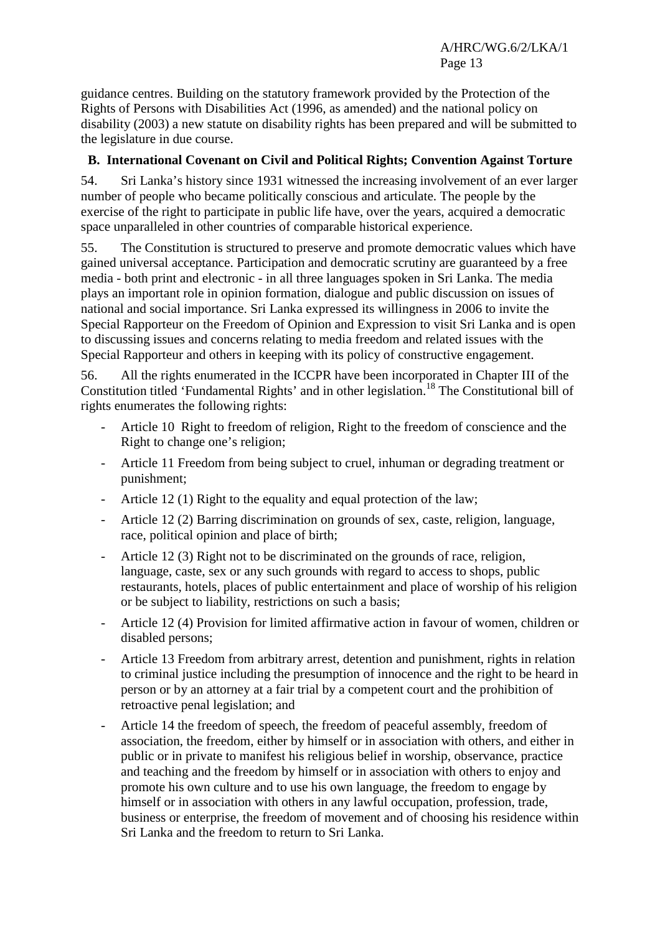guidance centres. Building on the statutory framework provided by the Protection of the Rights of Persons with Disabilities Act (1996, as amended) and the national policy on disability (2003) a new statute on disability rights has been prepared and will be submitted to the legislature in due course.

# **B. International Covenant on Civil and Political Rights; Convention Against Torture**

54. Sri Lanka's history since 1931 witnessed the increasing involvement of an ever larger number of people who became politically conscious and articulate. The people by the exercise of the right to participate in public life have, over the years, acquired a democratic space unparalleled in other countries of comparable historical experience.

55. The Constitution is structured to preserve and promote democratic values which have gained universal acceptance. Participation and democratic scrutiny are guaranteed by a free media - both print and electronic - in all three languages spoken in Sri Lanka. The media plays an important role in opinion formation, dialogue and public discussion on issues of national and social importance. Sri Lanka expressed its willingness in 2006 to invite the Special Rapporteur on the Freedom of Opinion and Expression to visit Sri Lanka and is open to discussing issues and concerns relating to media freedom and related issues with the Special Rapporteur and others in keeping with its policy of constructive engagement.

56. All the rights enumerated in the ICCPR have been incorporated in Chapter III of the Constitution titled 'Fundamental Rights' and in other legislation.18 The Constitutional bill of rights enumerates the following rights:

- Article 10 Right to freedom of religion, Right to the freedom of conscience and the Right to change one's religion;
- Article 11 Freedom from being subject to cruel, inhuman or degrading treatment or punishment;
- Article 12 (1) Right to the equality and equal protection of the law;
- Article 12 (2) Barring discrimination on grounds of sex, caste, religion, language, race, political opinion and place of birth;
- Article 12 (3) Right not to be discriminated on the grounds of race, religion, language, caste, sex or any such grounds with regard to access to shops, public restaurants, hotels, places of public entertainment and place of worship of his religion or be subject to liability, restrictions on such a basis;
- Article 12 (4) Provision for limited affirmative action in favour of women, children or disabled persons;
- Article 13 Freedom from arbitrary arrest, detention and punishment, rights in relation to criminal justice including the presumption of innocence and the right to be heard in person or by an attorney at a fair trial by a competent court and the prohibition of retroactive penal legislation; and
- Article 14 the freedom of speech, the freedom of peaceful assembly, freedom of association, the freedom, either by himself or in association with others, and either in public or in private to manifest his religious belief in worship, observance, practice and teaching and the freedom by himself or in association with others to enjoy and promote his own culture and to use his own language, the freedom to engage by himself or in association with others in any lawful occupation, profession, trade, business or enterprise, the freedom of movement and of choosing his residence within Sri Lanka and the freedom to return to Sri Lanka.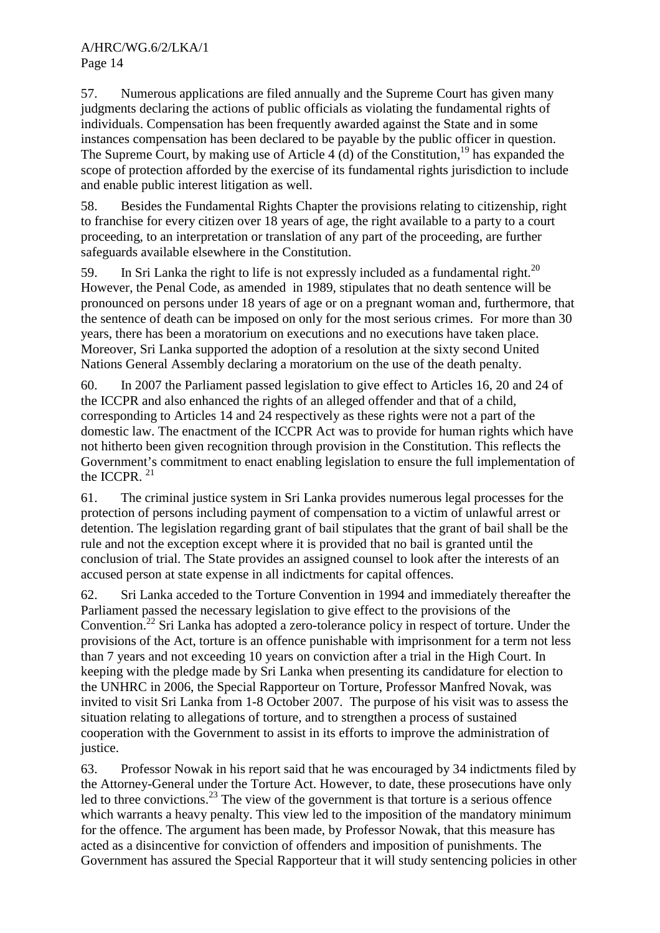57. Numerous applications are filed annually and the Supreme Court has given many judgments declaring the actions of public officials as violating the fundamental rights of individuals. Compensation has been frequently awarded against the State and in some instances compensation has been declared to be payable by the public officer in question. The Supreme Court, by making use of Article 4 (d) of the Constitution.<sup>19</sup> has expanded the scope of protection afforded by the exercise of its fundamental rights jurisdiction to include and enable public interest litigation as well.

58. Besides the Fundamental Rights Chapter the provisions relating to citizenship, right to franchise for every citizen over 18 years of age, the right available to a party to a court proceeding, to an interpretation or translation of any part of the proceeding, are further safeguards available elsewhere in the Constitution.

59. In Sri Lanka the right to life is not expressly included as a fundamental right.<sup>20</sup> However, the Penal Code, as amended in 1989, stipulates that no death sentence will be pronounced on persons under 18 years of age or on a pregnant woman and, furthermore, that the sentence of death can be imposed on only for the most serious crimes. For more than 30 years, there has been a moratorium on executions and no executions have taken place. Moreover, Sri Lanka supported the adoption of a resolution at the sixty second United Nations General Assembly declaring a moratorium on the use of the death penalty.

60. In 2007 the Parliament passed legislation to give effect to Articles 16, 20 and 24 of the ICCPR and also enhanced the rights of an alleged offender and that of a child, corresponding to Articles 14 and 24 respectively as these rights were not a part of the domestic law. The enactment of the ICCPR Act was to provide for human rights which have not hitherto been given recognition through provision in the Constitution. This reflects the Government's commitment to enact enabling legislation to ensure the full implementation of the ICCPR.  $21$ 

61. The criminal justice system in Sri Lanka provides numerous legal processes for the protection of persons including payment of compensation to a victim of unlawful arrest or detention. The legislation regarding grant of bail stipulates that the grant of bail shall be the rule and not the exception except where it is provided that no bail is granted until the conclusion of trial. The State provides an assigned counsel to look after the interests of an accused person at state expense in all indictments for capital offences.

62. Sri Lanka acceded to the Torture Convention in 1994 and immediately thereafter the Parliament passed the necessary legislation to give effect to the provisions of the Convention.<sup>22</sup> Sri Lanka has adopted a zero-tolerance policy in respect of torture. Under the provisions of the Act, torture is an offence punishable with imprisonment for a term not less than 7 years and not exceeding 10 years on conviction after a trial in the High Court. In keeping with the pledge made by Sri Lanka when presenting its candidature for election to the UNHRC in 2006, the Special Rapporteur on Torture, Professor Manfred Novak, was invited to visit Sri Lanka from 1-8 October 2007. The purpose of his visit was to assess the situation relating to allegations of torture, and to strengthen a process of sustained cooperation with the Government to assist in its efforts to improve the administration of justice.

63. Professor Nowak in his report said that he was encouraged by 34 indictments filed by the Attorney-General under the Torture Act. However, to date, these prosecutions have only led to three convictions.<sup>23</sup> The view of the government is that torture is a serious offence which warrants a heavy penalty. This view led to the imposition of the mandatory minimum for the offence. The argument has been made, by Professor Nowak, that this measure has acted as a disincentive for conviction of offenders and imposition of punishments. The Government has assured the Special Rapporteur that it will study sentencing policies in other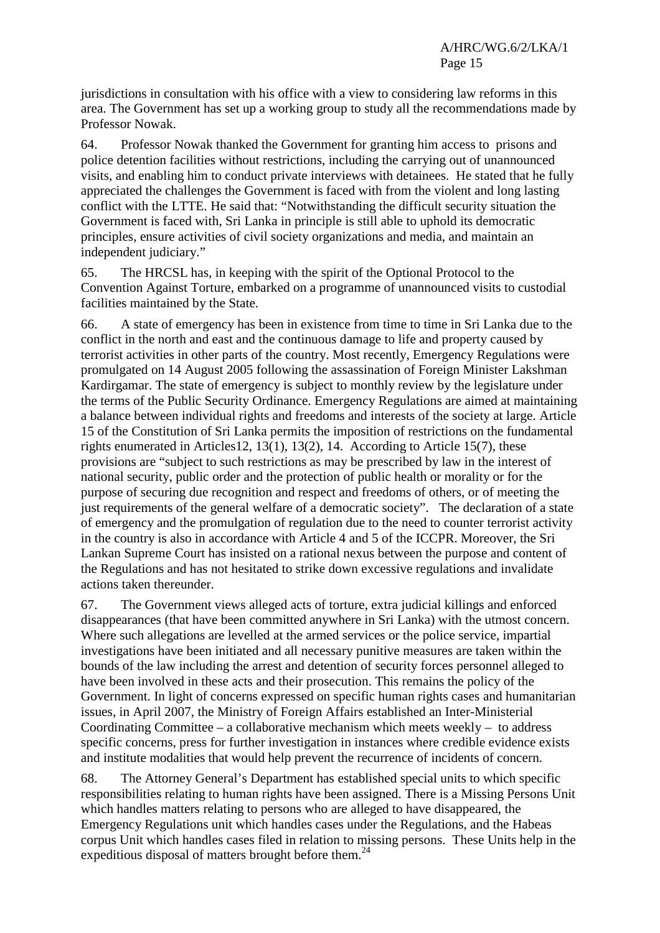jurisdictions in consultation with his office with a view to considering law reforms in this area. The Government has set up a working group to study all the recommendations made by Professor Nowak.

64. Professor Nowak thanked the Government for granting him access to prisons and police detention facilities without restrictions, including the carrying out of unannounced visits, and enabling him to conduct private interviews with detainees. He stated that he fully appreciated the challenges the Government is faced with from the violent and long lasting conflict with the LTTE. He said that: "Notwithstanding the difficult security situation the Government is faced with, Sri Lanka in principle is still able to uphold its democratic principles, ensure activities of civil society organizations and media, and maintain an independent judiciary."

65. The HRCSL has, in keeping with the spirit of the Optional Protocol to the Convention Against Torture, embarked on a programme of unannounced visits to custodial facilities maintained by the State.

66. A state of emergency has been in existence from time to time in Sri Lanka due to the conflict in the north and east and the continuous damage to life and property caused by terrorist activities in other parts of the country. Most recently, Emergency Regulations were promulgated on 14 August 2005 following the assassination of Foreign Minister Lakshman Kardirgamar. The state of emergency is subject to monthly review by the legislature under the terms of the Public Security Ordinance. Emergency Regulations are aimed at maintaining a balance between individual rights and freedoms and interests of the society at large. Article 15 of the Constitution of Sri Lanka permits the imposition of restrictions on the fundamental rights enumerated in Articles12, 13(1), 13(2), 14. According to Article 15(7), these provisions are "subject to such restrictions as may be prescribed by law in the interest of national security, public order and the protection of public health or morality or for the purpose of securing due recognition and respect and freedoms of others, or of meeting the just requirements of the general welfare of a democratic society". The declaration of a state of emergency and the promulgation of regulation due to the need to counter terrorist activity in the country is also in accordance with Article 4 and 5 of the ICCPR. Moreover, the Sri Lankan Supreme Court has insisted on a rational nexus between the purpose and content of the Regulations and has not hesitated to strike down excessive regulations and invalidate actions taken thereunder.

67. The Government views alleged acts of torture, extra judicial killings and enforced disappearances (that have been committed anywhere in Sri Lanka) with the utmost concern. Where such allegations are levelled at the armed services or the police service, impartial investigations have been initiated and all necessary punitive measures are taken within the bounds of the law including the arrest and detention of security forces personnel alleged to have been involved in these acts and their prosecution. This remains the policy of the Government. In light of concerns expressed on specific human rights cases and humanitarian issues, in April 2007, the Ministry of Foreign Affairs established an Inter-Ministerial Coordinating Committee – a collaborative mechanism which meets weekly – to address specific concerns, press for further investigation in instances where credible evidence exists and institute modalities that would help prevent the recurrence of incidents of concern.

68. The Attorney General's Department has established special units to which specific responsibilities relating to human rights have been assigned. There is a Missing Persons Unit which handles matters relating to persons who are alleged to have disappeared, the Emergency Regulations unit which handles cases under the Regulations, and the Habeas corpus Unit which handles cases filed in relation to missing persons. These Units help in the expeditious disposal of matters brought before them.<sup>24</sup>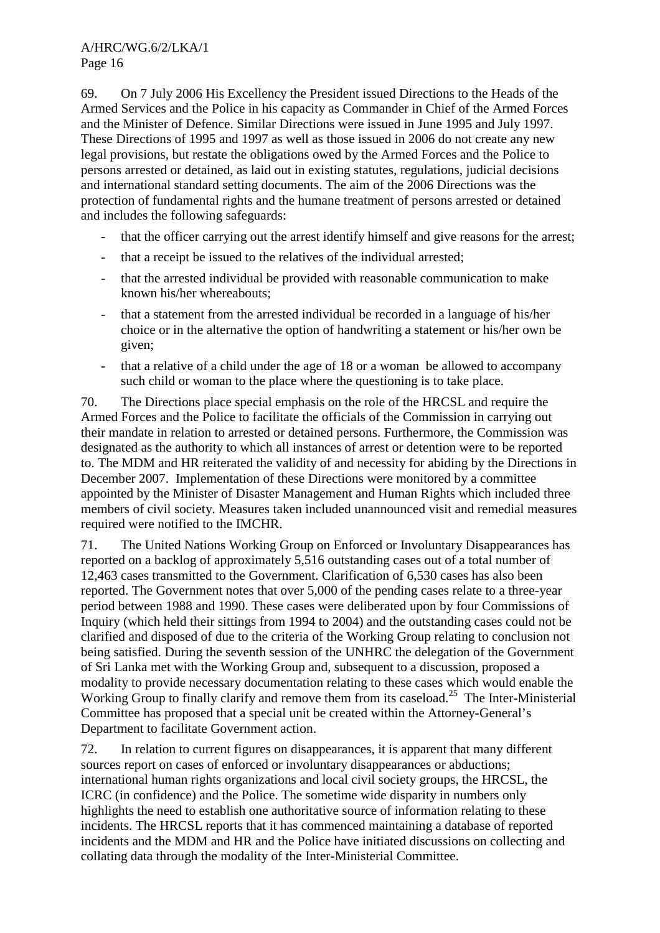69. On 7 July 2006 His Excellency the President issued Directions to the Heads of the Armed Services and the Police in his capacity as Commander in Chief of the Armed Forces and the Minister of Defence. Similar Directions were issued in June 1995 and July 1997. These Directions of 1995 and 1997 as well as those issued in 2006 do not create any new legal provisions, but restate the obligations owed by the Armed Forces and the Police to persons arrested or detained, as laid out in existing statutes, regulations, judicial decisions and international standard setting documents. The aim of the 2006 Directions was the protection of fundamental rights and the humane treatment of persons arrested or detained and includes the following safeguards:

- that the officer carrying out the arrest identify himself and give reasons for the arrest;
- that a receipt be issued to the relatives of the individual arrested;
- that the arrested individual be provided with reasonable communication to make known his/her whereabouts;
- that a statement from the arrested individual be recorded in a language of his/her choice or in the alternative the option of handwriting a statement or his/her own be given;
- that a relative of a child under the age of 18 or a woman be allowed to accompany such child or woman to the place where the questioning is to take place.

70. The Directions place special emphasis on the role of the HRCSL and require the Armed Forces and the Police to facilitate the officials of the Commission in carrying out their mandate in relation to arrested or detained persons. Furthermore, the Commission was designated as the authority to which all instances of arrest or detention were to be reported to. The MDM and HR reiterated the validity of and necessity for abiding by the Directions in December 2007. Implementation of these Directions were monitored by a committee appointed by the Minister of Disaster Management and Human Rights which included three members of civil society. Measures taken included unannounced visit and remedial measures required were notified to the IMCHR.

71. The United Nations Working Group on Enforced or Involuntary Disappearances has reported on a backlog of approximately 5,516 outstanding cases out of a total number of 12,463 cases transmitted to the Government. Clarification of 6,530 cases has also been reported. The Government notes that over 5,000 of the pending cases relate to a three-year period between 1988 and 1990. These cases were deliberated upon by four Commissions of Inquiry (which held their sittings from 1994 to 2004) and the outstanding cases could not be clarified and disposed of due to the criteria of the Working Group relating to conclusion not being satisfied. During the seventh session of the UNHRC the delegation of the Government of Sri Lanka met with the Working Group and, subsequent to a discussion, proposed a modality to provide necessary documentation relating to these cases which would enable the Working Group to finally clarify and remove them from its caseload.<sup>25</sup> The Inter-Ministerial Committee has proposed that a special unit be created within the Attorney-General's Department to facilitate Government action.

72. In relation to current figures on disappearances, it is apparent that many different sources report on cases of enforced or involuntary disappearances or abductions; international human rights organizations and local civil society groups, the HRCSL, the ICRC (in confidence) and the Police. The sometime wide disparity in numbers only highlights the need to establish one authoritative source of information relating to these incidents. The HRCSL reports that it has commenced maintaining a database of reported incidents and the MDM and HR and the Police have initiated discussions on collecting and collating data through the modality of the Inter-Ministerial Committee.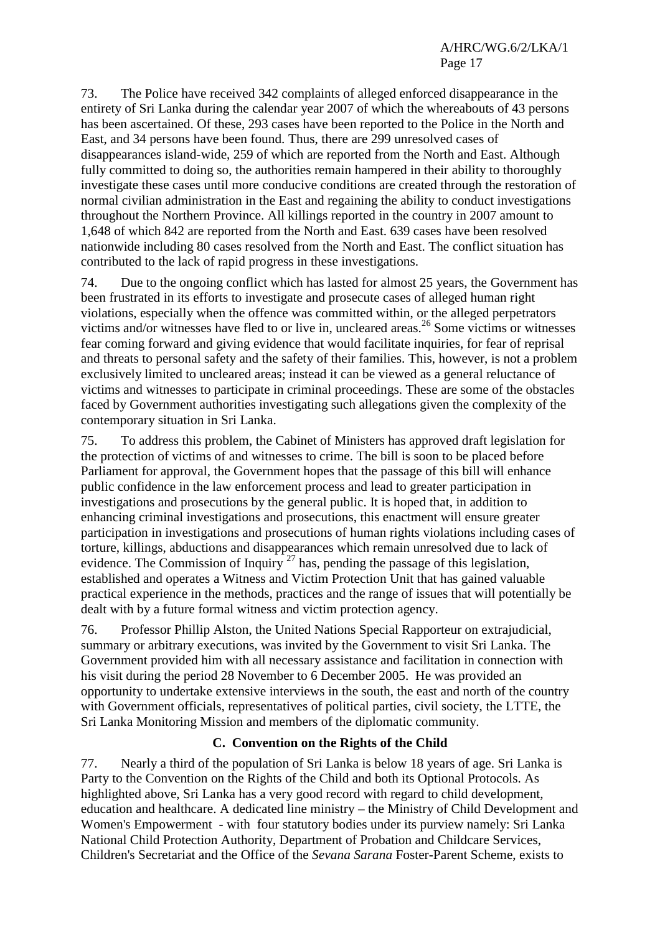73. The Police have received 342 complaints of alleged enforced disappearance in the entirety of Sri Lanka during the calendar year 2007 of which the whereabouts of 43 persons has been ascertained. Of these, 293 cases have been reported to the Police in the North and East, and 34 persons have been found. Thus, there are 299 unresolved cases of disappearances island-wide, 259 of which are reported from the North and East. Although fully committed to doing so, the authorities remain hampered in their ability to thoroughly investigate these cases until more conducive conditions are created through the restoration of normal civilian administration in the East and regaining the ability to conduct investigations throughout the Northern Province. All killings reported in the country in 2007 amount to 1,648 of which 842 are reported from the North and East. 639 cases have been resolved nationwide including 80 cases resolved from the North and East. The conflict situation has contributed to the lack of rapid progress in these investigations.

74. Due to the ongoing conflict which has lasted for almost 25 years, the Government has been frustrated in its efforts to investigate and prosecute cases of alleged human right violations, especially when the offence was committed within, or the alleged perpetrators victims and/or witnesses have fled to or live in, uncleared areas.<sup>26</sup> Some victims or witnesses fear coming forward and giving evidence that would facilitate inquiries, for fear of reprisal and threats to personal safety and the safety of their families. This, however, is not a problem exclusively limited to uncleared areas; instead it can be viewed as a general reluctance of victims and witnesses to participate in criminal proceedings. These are some of the obstacles faced by Government authorities investigating such allegations given the complexity of the contemporary situation in Sri Lanka.

75. To address this problem, the Cabinet of Ministers has approved draft legislation for the protection of victims of and witnesses to crime. The bill is soon to be placed before Parliament for approval, the Government hopes that the passage of this bill will enhance public confidence in the law enforcement process and lead to greater participation in investigations and prosecutions by the general public. It is hoped that, in addition to enhancing criminal investigations and prosecutions, this enactment will ensure greater participation in investigations and prosecutions of human rights violations including cases of torture, killings, abductions and disappearances which remain unresolved due to lack of evidence. The Commission of Inquiry<sup>27</sup> has, pending the passage of this legislation, established and operates a Witness and Victim Protection Unit that has gained valuable practical experience in the methods, practices and the range of issues that will potentially be dealt with by a future formal witness and victim protection agency.

76. Professor Phillip Alston, the United Nations Special Rapporteur on extrajudicial, summary or arbitrary executions, was invited by the Government to visit Sri Lanka. The Government provided him with all necessary assistance and facilitation in connection with his visit during the period 28 November to 6 December 2005. He was provided an opportunity to undertake extensive interviews in the south, the east and north of the country with Government officials, representatives of political parties, civil society, the LTTE, the Sri Lanka Monitoring Mission and members of the diplomatic community.

#### **C. Convention on the Rights of the Child**

77. Nearly a third of the population of Sri Lanka is below 18 years of age. Sri Lanka is Party to the Convention on the Rights of the Child and both its Optional Protocols. As highlighted above, Sri Lanka has a very good record with regard to child development, education and healthcare. A dedicated line ministry – the Ministry of Child Development and Women's Empowerment - with four statutory bodies under its purview namely: Sri Lanka National Child Protection Authority, Department of Probation and Childcare Services, Children's Secretariat and the Office of the *Sevana Sarana* Foster-Parent Scheme, exists to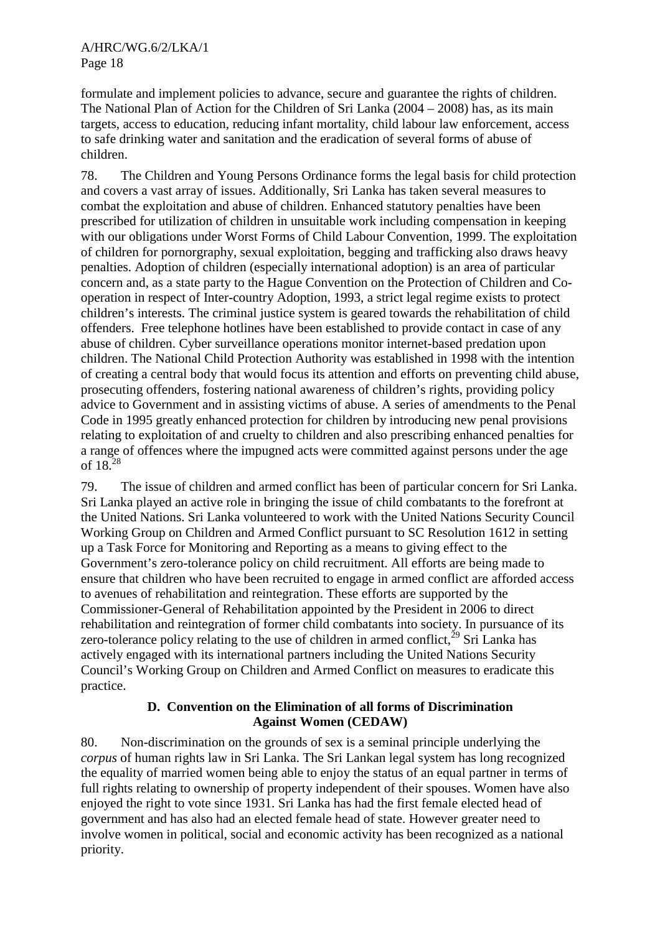formulate and implement policies to advance, secure and guarantee the rights of children. The National Plan of Action for the Children of Sri Lanka (2004 – 2008) has, as its main targets, access to education, reducing infant mortality, child labour law enforcement, access to safe drinking water and sanitation and the eradication of several forms of abuse of children.

78. The Children and Young Persons Ordinance forms the legal basis for child protection and covers a vast array of issues. Additionally, Sri Lanka has taken several measures to combat the exploitation and abuse of children. Enhanced statutory penalties have been prescribed for utilization of children in unsuitable work including compensation in keeping with our obligations under Worst Forms of Child Labour Convention, 1999. The exploitation of children for pornorgraphy, sexual exploitation, begging and trafficking also draws heavy penalties. Adoption of children (especially international adoption) is an area of particular concern and, as a state party to the Hague Convention on the Protection of Children and Cooperation in respect of Inter-country Adoption, 1993, a strict legal regime exists to protect children's interests. The criminal justice system is geared towards the rehabilitation of child offenders. Free telephone hotlines have been established to provide contact in case of any abuse of children. Cyber surveillance operations monitor internet-based predation upon children. The National Child Protection Authority was established in 1998 with the intention of creating a central body that would focus its attention and efforts on preventing child abuse, prosecuting offenders, fostering national awareness of children's rights, providing policy advice to Government and in assisting victims of abuse. A series of amendments to the Penal Code in 1995 greatly enhanced protection for children by introducing new penal provisions relating to exploitation of and cruelty to children and also prescribing enhanced penalties for a range of offences where the impugned acts were committed against persons under the age of 18.28

79. The issue of children and armed conflict has been of particular concern for Sri Lanka. Sri Lanka played an active role in bringing the issue of child combatants to the forefront at the United Nations. Sri Lanka volunteered to work with the United Nations Security Council Working Group on Children and Armed Conflict pursuant to SC Resolution 1612 in setting up a Task Force for Monitoring and Reporting as a means to giving effect to the Government's zero-tolerance policy on child recruitment. All efforts are being made to ensure that children who have been recruited to engage in armed conflict are afforded access to avenues of rehabilitation and reintegration. These efforts are supported by the Commissioner-General of Rehabilitation appointed by the President in 2006 to direct rehabilitation and reintegration of former child combatants into society. In pursuance of its zero-tolerance policy relating to the use of children in armed conflict,<sup>29</sup> Sri Lanka has actively engaged with its international partners including the United Nations Security Council's Working Group on Children and Armed Conflict on measures to eradicate this practice.

#### **D. Convention on the Elimination of all forms of Discrimination Against Women (CEDAW)**

80. Non-discrimination on the grounds of sex is a seminal principle underlying the *corpus* of human rights law in Sri Lanka. The Sri Lankan legal system has long recognized the equality of married women being able to enjoy the status of an equal partner in terms of full rights relating to ownership of property independent of their spouses. Women have also enjoyed the right to vote since 1931. Sri Lanka has had the first female elected head of government and has also had an elected female head of state. However greater need to involve women in political, social and economic activity has been recognized as a national priority.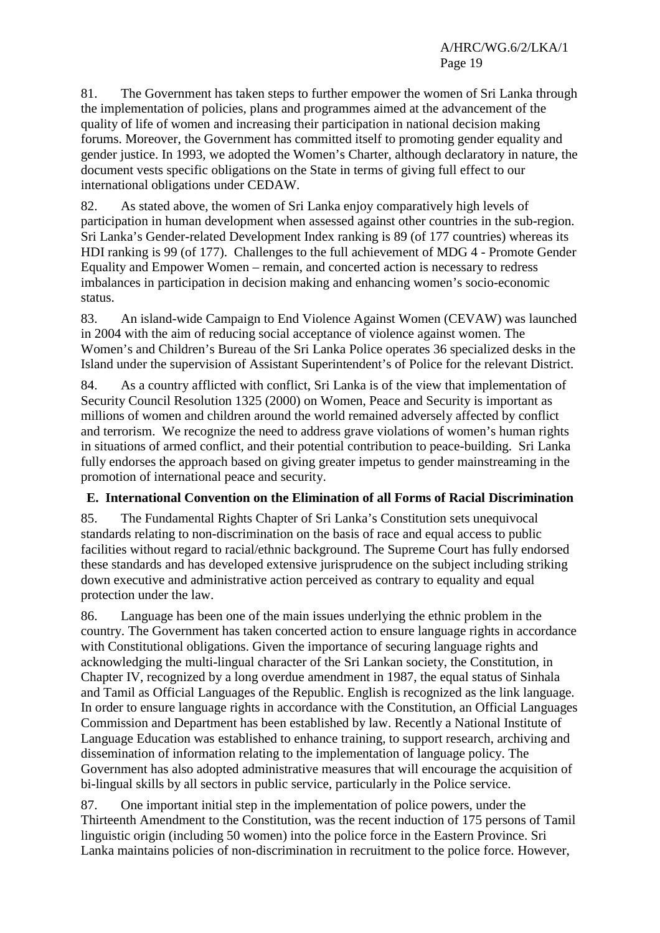81. The Government has taken steps to further empower the women of Sri Lanka through the implementation of policies, plans and programmes aimed at the advancement of the quality of life of women and increasing their participation in national decision making forums. Moreover, the Government has committed itself to promoting gender equality and gender justice. In 1993, we adopted the Women's Charter, although declaratory in nature, the document vests specific obligations on the State in terms of giving full effect to our international obligations under CEDAW.

82. As stated above, the women of Sri Lanka enjoy comparatively high levels of participation in human development when assessed against other countries in the sub-region. Sri Lanka's Gender-related Development Index ranking is 89 (of 177 countries) whereas its HDI ranking is 99 (of 177). Challenges to the full achievement of MDG 4 - Promote Gender Equality and Empower Women – remain, and concerted action is necessary to redress imbalances in participation in decision making and enhancing women's socio-economic status.

83. An island-wide Campaign to End Violence Against Women (CEVAW) was launched in 2004 with the aim of reducing social acceptance of violence against women. The Women's and Children's Bureau of the Sri Lanka Police operates 36 specialized desks in the Island under the supervision of Assistant Superintendent's of Police for the relevant District.

84. As a country afflicted with conflict, Sri Lanka is of the view that implementation of Security Council Resolution 1325 (2000) on Women, Peace and Security is important as millions of women and children around the world remained adversely affected by conflict and terrorism. We recognize the need to address grave violations of women's human rights in situations of armed conflict, and their potential contribution to peace-building. Sri Lanka fully endorses the approach based on giving greater impetus to gender mainstreaming in the promotion of international peace and security.

# **E. International Convention on the Elimination of all Forms of Racial Discrimination**

85. The Fundamental Rights Chapter of Sri Lanka's Constitution sets unequivocal standards relating to non-discrimination on the basis of race and equal access to public facilities without regard to racial/ethnic background. The Supreme Court has fully endorsed these standards and has developed extensive jurisprudence on the subject including striking down executive and administrative action perceived as contrary to equality and equal protection under the law.

86. Language has been one of the main issues underlying the ethnic problem in the country. The Government has taken concerted action to ensure language rights in accordance with Constitutional obligations. Given the importance of securing language rights and acknowledging the multi-lingual character of the Sri Lankan society, the Constitution, in Chapter IV, recognized by a long overdue amendment in 1987, the equal status of Sinhala and Tamil as Official Languages of the Republic. English is recognized as the link language. In order to ensure language rights in accordance with the Constitution, an Official Languages Commission and Department has been established by law. Recently a National Institute of Language Education was established to enhance training, to support research, archiving and dissemination of information relating to the implementation of language policy. The Government has also adopted administrative measures that will encourage the acquisition of bi-lingual skills by all sectors in public service, particularly in the Police service.

87. One important initial step in the implementation of police powers, under the Thirteenth Amendment to the Constitution, was the recent induction of 175 persons of Tamil linguistic origin (including 50 women) into the police force in the Eastern Province. Sri Lanka maintains policies of non-discrimination in recruitment to the police force. However,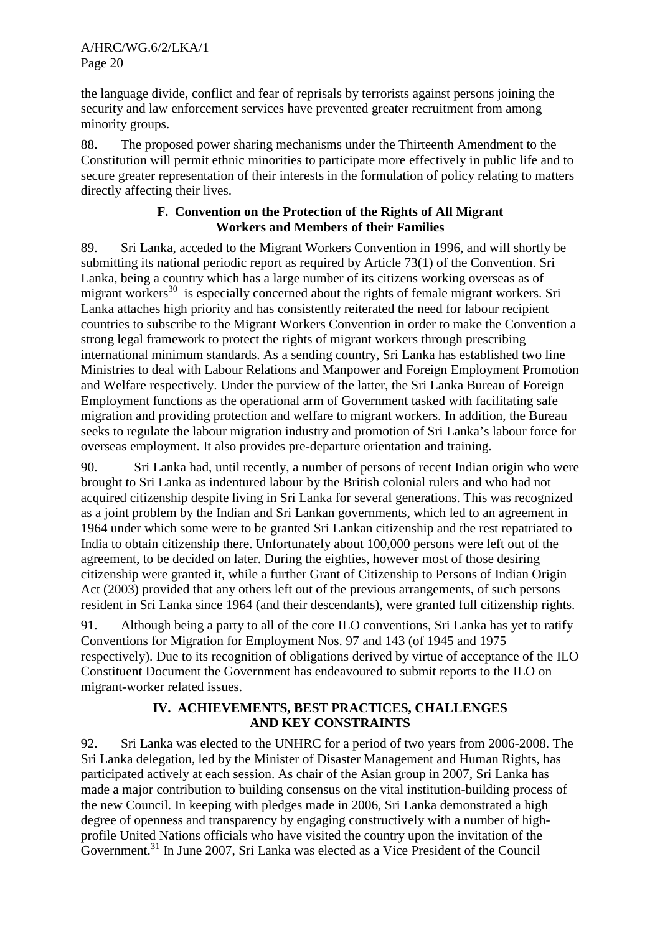the language divide, conflict and fear of reprisals by terrorists against persons joining the security and law enforcement services have prevented greater recruitment from among minority groups.

88. The proposed power sharing mechanisms under the Thirteenth Amendment to the Constitution will permit ethnic minorities to participate more effectively in public life and to secure greater representation of their interests in the formulation of policy relating to matters directly affecting their lives.

#### **F. Convention on the Protection of the Rights of All Migrant Workers and Members of their Families**

89. Sri Lanka, acceded to the Migrant Workers Convention in 1996, and will shortly be submitting its national periodic report as required by Article 73(1) of the Convention. Sri Lanka, being a country which has a large number of its citizens working overseas as of migrant workers $30$  is especially concerned about the rights of female migrant workers. Sri Lanka attaches high priority and has consistently reiterated the need for labour recipient countries to subscribe to the Migrant Workers Convention in order to make the Convention a strong legal framework to protect the rights of migrant workers through prescribing international minimum standards. As a sending country, Sri Lanka has established two line Ministries to deal with Labour Relations and Manpower and Foreign Employment Promotion and Welfare respectively. Under the purview of the latter, the Sri Lanka Bureau of Foreign Employment functions as the operational arm of Government tasked with facilitating safe migration and providing protection and welfare to migrant workers. In addition, the Bureau seeks to regulate the labour migration industry and promotion of Sri Lanka's labour force for overseas employment. It also provides pre-departure orientation and training.

90. Sri Lanka had, until recently, a number of persons of recent Indian origin who were brought to Sri Lanka as indentured labour by the British colonial rulers and who had not acquired citizenship despite living in Sri Lanka for several generations. This was recognized as a joint problem by the Indian and Sri Lankan governments, which led to an agreement in 1964 under which some were to be granted Sri Lankan citizenship and the rest repatriated to India to obtain citizenship there. Unfortunately about 100,000 persons were left out of the agreement, to be decided on later. During the eighties, however most of those desiring citizenship were granted it, while a further Grant of Citizenship to Persons of Indian Origin Act (2003) provided that any others left out of the previous arrangements, of such persons resident in Sri Lanka since 1964 (and their descendants), were granted full citizenship rights.

91. Although being a party to all of the core ILO conventions, Sri Lanka has yet to ratify Conventions for Migration for Employment Nos. 97 and 143 (of 1945 and 1975 respectively). Due to its recognition of obligations derived by virtue of acceptance of the ILO Constituent Document the Government has endeavoured to submit reports to the ILO on migrant-worker related issues.

# **IV. ACHIEVEMENTS, BEST PRACTICES, CHALLENGES AND KEY CONSTRAINTS**

92. Sri Lanka was elected to the UNHRC for a period of two years from 2006-2008. The Sri Lanka delegation, led by the Minister of Disaster Management and Human Rights, has participated actively at each session. As chair of the Asian group in 2007, Sri Lanka has made a major contribution to building consensus on the vital institution-building process of the new Council. In keeping with pledges made in 2006, Sri Lanka demonstrated a high degree of openness and transparency by engaging constructively with a number of highprofile United Nations officials who have visited the country upon the invitation of the Government.<sup>31</sup> In June 2007, Sri Lanka was elected as a Vice President of the Council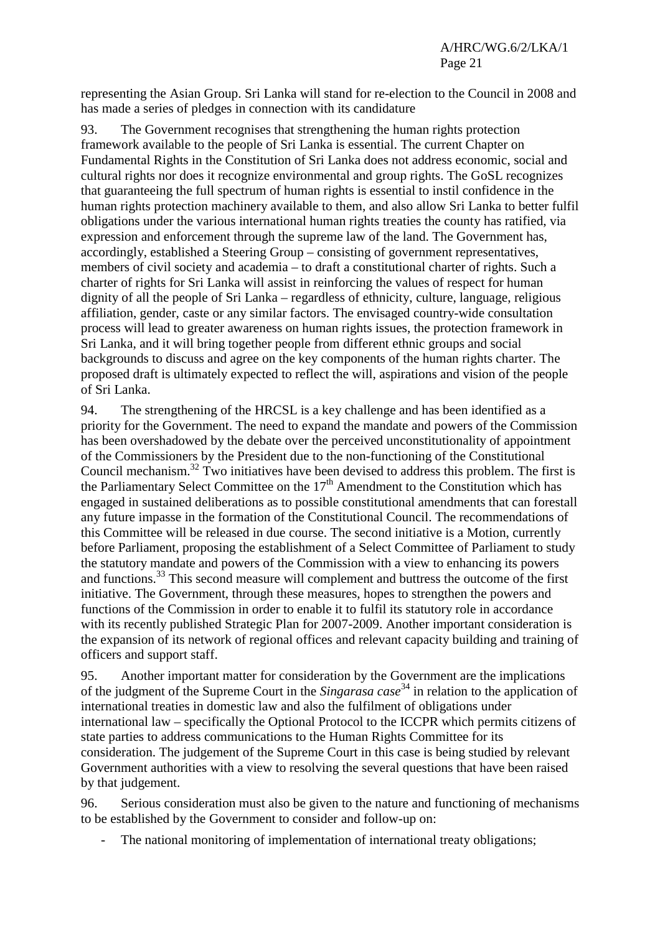representing the Asian Group. Sri Lanka will stand for re-election to the Council in 2008 and has made a series of pledges in connection with its candidature

93. The Government recognises that strengthening the human rights protection framework available to the people of Sri Lanka is essential. The current Chapter on Fundamental Rights in the Constitution of Sri Lanka does not address economic, social and cultural rights nor does it recognize environmental and group rights. The GoSL recognizes that guaranteeing the full spectrum of human rights is essential to instil confidence in the human rights protection machinery available to them, and also allow Sri Lanka to better fulfil obligations under the various international human rights treaties the county has ratified, via expression and enforcement through the supreme law of the land. The Government has, accordingly, established a Steering Group – consisting of government representatives, members of civil society and academia – to draft a constitutional charter of rights. Such a charter of rights for Sri Lanka will assist in reinforcing the values of respect for human dignity of all the people of Sri Lanka – regardless of ethnicity, culture, language, religious affiliation, gender, caste or any similar factors. The envisaged country-wide consultation process will lead to greater awareness on human rights issues, the protection framework in Sri Lanka, and it will bring together people from different ethnic groups and social backgrounds to discuss and agree on the key components of the human rights charter. The proposed draft is ultimately expected to reflect the will, aspirations and vision of the people of Sri Lanka.

94. The strengthening of the HRCSL is a key challenge and has been identified as a priority for the Government. The need to expand the mandate and powers of the Commission has been overshadowed by the debate over the perceived unconstitutionality of appointment of the Commissioners by the President due to the non-functioning of the Constitutional Council mechanism.32 Two initiatives have been devised to address this problem. The first is the Parliamentary Select Committee on the  $17<sup>th</sup>$  Amendment to the Constitution which has engaged in sustained deliberations as to possible constitutional amendments that can forestall any future impasse in the formation of the Constitutional Council. The recommendations of this Committee will be released in due course. The second initiative is a Motion, currently before Parliament, proposing the establishment of a Select Committee of Parliament to study the statutory mandate and powers of the Commission with a view to enhancing its powers and functions.33 This second measure will complement and buttress the outcome of the first initiative. The Government, through these measures, hopes to strengthen the powers and functions of the Commission in order to enable it to fulfil its statutory role in accordance with its recently published Strategic Plan for 2007-2009. Another important consideration is the expansion of its network of regional offices and relevant capacity building and training of officers and support staff.

95. Another important matter for consideration by the Government are the implications of the judgment of the Supreme Court in the *Singarasa case*<sup>34</sup> in relation to the application of international treaties in domestic law and also the fulfilment of obligations under international law – specifically the Optional Protocol to the ICCPR which permits citizens of state parties to address communications to the Human Rights Committee for its consideration. The judgement of the Supreme Court in this case is being studied by relevant Government authorities with a view to resolving the several questions that have been raised by that judgement.

96. Serious consideration must also be given to the nature and functioning of mechanisms to be established by the Government to consider and follow-up on:

The national monitoring of implementation of international treaty obligations;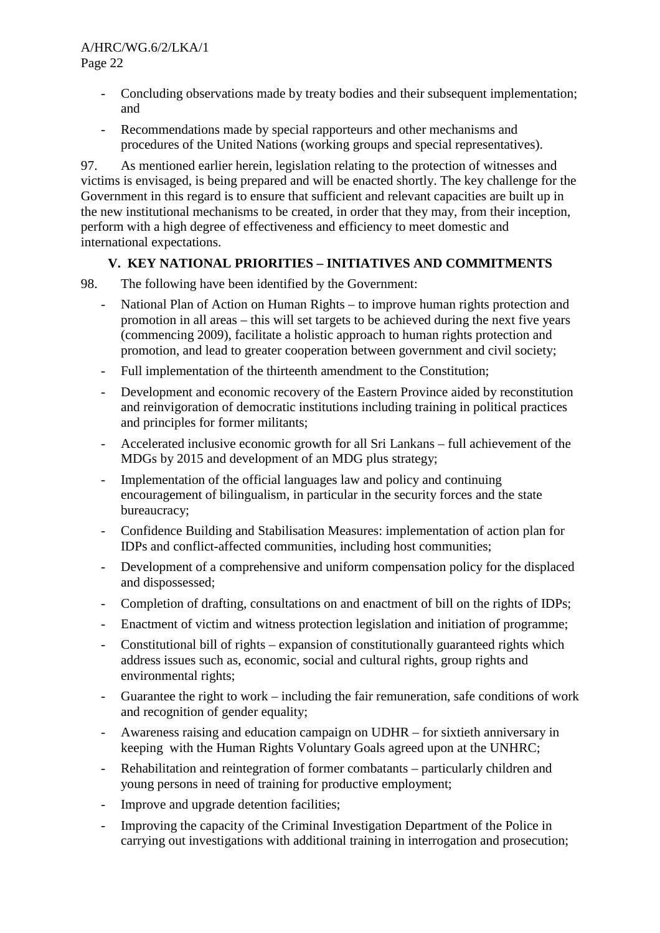# A/HRC/WG.6/2/LKA/1

- Concluding observations made by treaty bodies and their subsequent implementation; and
- Recommendations made by special rapporteurs and other mechanisms and procedures of the United Nations (working groups and special representatives).

97. As mentioned earlier herein, legislation relating to the protection of witnesses and victims is envisaged, is being prepared and will be enacted shortly. The key challenge for the Government in this regard is to ensure that sufficient and relevant capacities are built up in the new institutional mechanisms to be created, in order that they may, from their inception, perform with a high degree of effectiveness and efficiency to meet domestic and international expectations.

# **V. KEY NATIONAL PRIORITIES – INITIATIVES AND COMMITMENTS**

98. The following have been identified by the Government:

- National Plan of Action on Human Rights to improve human rights protection and promotion in all areas – this will set targets to be achieved during the next five years (commencing 2009), facilitate a holistic approach to human rights protection and promotion, and lead to greater cooperation between government and civil society;
- Full implementation of the thirteenth amendment to the Constitution;
- Development and economic recovery of the Eastern Province aided by reconstitution and reinvigoration of democratic institutions including training in political practices and principles for former militants;
- Accelerated inclusive economic growth for all Sri Lankans full achievement of the MDGs by 2015 and development of an MDG plus strategy;
- Implementation of the official languages law and policy and continuing encouragement of bilingualism, in particular in the security forces and the state bureaucracy;
- Confidence Building and Stabilisation Measures: implementation of action plan for IDPs and conflict-affected communities, including host communities;
- Development of a comprehensive and uniform compensation policy for the displaced and dispossessed;
- Completion of drafting, consultations on and enactment of bill on the rights of IDPs;
- Enactment of victim and witness protection legislation and initiation of programme;
- Constitutional bill of rights expansion of constitutionally guaranteed rights which address issues such as, economic, social and cultural rights, group rights and environmental rights;
- Guarantee the right to work including the fair remuneration, safe conditions of work and recognition of gender equality;
- Awareness raising and education campaign on UDHR for sixtieth anniversary in keeping with the Human Rights Voluntary Goals agreed upon at the UNHRC;
- Rehabilitation and reintegration of former combatants particularly children and young persons in need of training for productive employment;
- Improve and upgrade detention facilities;
- Improving the capacity of the Criminal Investigation Department of the Police in carrying out investigations with additional training in interrogation and prosecution;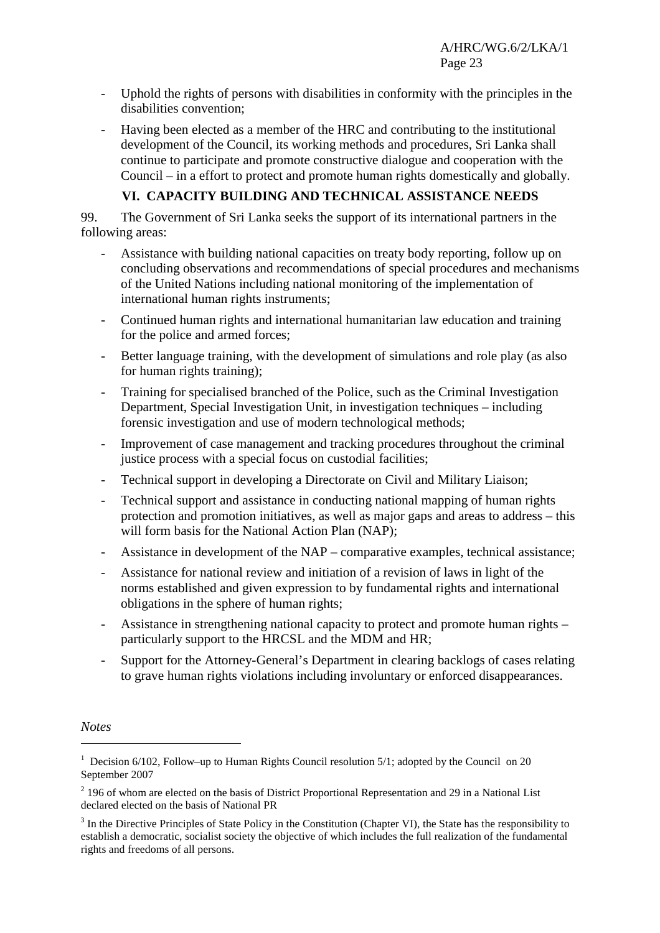- Uphold the rights of persons with disabilities in conformity with the principles in the disabilities convention;
- Having been elected as a member of the HRC and contributing to the institutional development of the Council, its working methods and procedures, Sri Lanka shall continue to participate and promote constructive dialogue and cooperation with the Council – in a effort to protect and promote human rights domestically and globally.

# **VI. CAPACITY BUILDING AND TECHNICAL ASSISTANCE NEEDS**

99. The Government of Sri Lanka seeks the support of its international partners in the following areas:

- Assistance with building national capacities on treaty body reporting, follow up on concluding observations and recommendations of special procedures and mechanisms of the United Nations including national monitoring of the implementation of international human rights instruments;
- Continued human rights and international humanitarian law education and training for the police and armed forces;
- Better language training, with the development of simulations and role play (as also for human rights training);
- Training for specialised branched of the Police, such as the Criminal Investigation Department, Special Investigation Unit, in investigation techniques – including forensic investigation and use of modern technological methods;
- Improvement of case management and tracking procedures throughout the criminal justice process with a special focus on custodial facilities;
- Technical support in developing a Directorate on Civil and Military Liaison;
- Technical support and assistance in conducting national mapping of human rights protection and promotion initiatives, as well as major gaps and areas to address – this will form basis for the National Action Plan (NAP);
- Assistance in development of the NAP comparative examples, technical assistance;
- Assistance for national review and initiation of a revision of laws in light of the norms established and given expression to by fundamental rights and international obligations in the sphere of human rights;
- Assistance in strengthening national capacity to protect and promote human rights particularly support to the HRCSL and the MDM and HR;
- Support for the Attorney-General's Department in clearing backlogs of cases relating to grave human rights violations including involuntary or enforced disappearances.

*Notes* 

 $\overline{a}$ 

<sup>&</sup>lt;sup>1</sup> Decision 6/102, Follow–up to Human Rights Council resolution 5/1; adopted by the Council on 20 September 2007

 $2$  196 of whom are elected on the basis of District Proportional Representation and 29 in a National List declared elected on the basis of National PR

 $3$  In the Directive Principles of State Policy in the Constitution (Chapter VI), the State has the responsibility to establish a democratic, socialist society the objective of which includes the full realization of the fundamental rights and freedoms of all persons.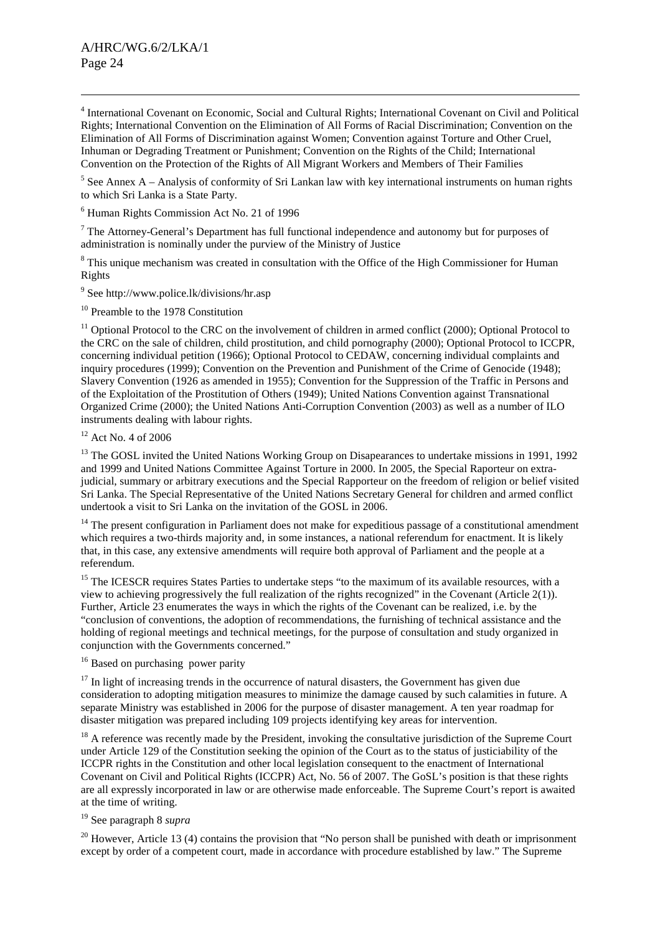$\overline{a}$ 

<sup>4</sup> International Covenant on Economic, Social and Cultural Rights; International Covenant on Civil and Political Rights; International Convention on the Elimination of All Forms of Racial Discrimination; Convention on the Elimination of All Forms of Discrimination against Women; Convention against Torture and Other Cruel, Inhuman or Degrading Treatment or Punishment; Convention on the Rights of the Child; International Convention on the Protection of the Rights of All Migrant Workers and Members of Their Families

 $<sup>5</sup>$  See Annex A – Analysis of conformity of Sri Lankan law with key international instruments on human rights</sup> to which Sri Lanka is a State Party.

6 Human Rights Commission Act No. 21 of 1996

 $7$  The Attorney-General's Department has full functional independence and autonomy but for purposes of administration is nominally under the purview of the Ministry of Justice

<sup>8</sup> This unique mechanism was created in consultation with the Office of the High Commissioner for Human Rights

<sup>9</sup> See http://www.police.lk/divisions/hr.asp

<sup>10</sup> Preamble to the 1978 Constitution

 $11$  Optional Protocol to the CRC on the involvement of children in armed conflict (2000); Optional Protocol to the CRC on the sale of children, child prostitution, and child pornography (2000); Optional Protocol to ICCPR, concerning individual petition (1966); Optional Protocol to CEDAW, concerning individual complaints and inquiry procedures (1999); Convention on the Prevention and Punishment of the Crime of Genocide (1948); Slavery Convention (1926 as amended in 1955); Convention for the Suppression of the Traffic in Persons and of the Exploitation of the Prostitution of Others (1949); United Nations Convention against Transnational Organized Crime (2000); the United Nations Anti-Corruption Convention (2003) as well as a number of ILO instruments dealing with labour rights.

#### $12$  Act No. 4 of 2006

 $13$  The GOSL invited the United Nations Working Group on Disapearances to undertake missions in 1991, 1992 and 1999 and United Nations Committee Against Torture in 2000. In 2005, the Special Raporteur on extrajudicial, summary or arbitrary executions and the Special Rapporteur on the freedom of religion or belief visited Sri Lanka. The Special Representative of the United Nations Secretary General for children and armed conflict undertook a visit to Sri Lanka on the invitation of the GOSL in 2006.

 $14$  The present configuration in Parliament does not make for expeditious passage of a constitutional amendment which requires a two-thirds majority and, in some instances, a national referendum for enactment. It is likely that, in this case, any extensive amendments will require both approval of Parliament and the people at a referendum.

<sup>15</sup> The ICESCR requires States Parties to undertake steps "to the maximum of its available resources, with a view to achieving progressively the full realization of the rights recognized" in the Covenant (Article 2(1)). Further, Article 23 enumerates the ways in which the rights of the Covenant can be realized, i.e. by the "conclusion of conventions, the adoption of recommendations, the furnishing of technical assistance and the holding of regional meetings and technical meetings, for the purpose of consultation and study organized in conjunction with the Governments concerned."

 $16$  Based on purchasing power parity

 $17$  In light of increasing trends in the occurrence of natural disasters, the Government has given due consideration to adopting mitigation measures to minimize the damage caused by such calamities in future. A separate Ministry was established in 2006 for the purpose of disaster management. A ten year roadmap for disaster mitigation was prepared including 109 projects identifying key areas for intervention.

 $18$  A reference was recently made by the President, invoking the consultative jurisdiction of the Supreme Court under Article 129 of the Constitution seeking the opinion of the Court as to the status of justiciability of the ICCPR rights in the Constitution and other local legislation consequent to the enactment of International Covenant on Civil and Political Rights (ICCPR) Act, No. 56 of 2007. The GoSL's position is that these rights are all expressly incorporated in law or are otherwise made enforceable. The Supreme Court's report is awaited at the time of writing.

#### 19 See paragraph 8 *supra*

 $20$  However, Article 13 (4) contains the provision that "No person shall be punished with death or imprisonment except by order of a competent court, made in accordance with procedure established by law." The Supreme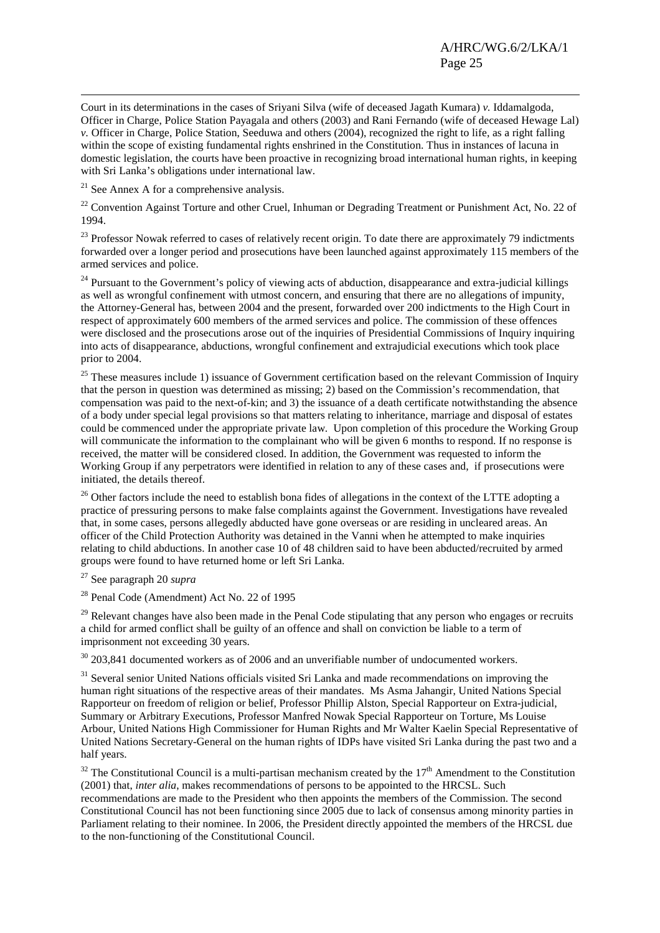Court in its determinations in the cases of Sriyani Silva (wife of deceased Jagath Kumara) *v.* Iddamalgoda, Officer in Charge, Police Station Payagala and others (2003) and Rani Fernando (wife of deceased Hewage Lal) *v.* Officer in Charge, Police Station, Seeduwa and others (2004), recognized the right to life, as a right falling within the scope of existing fundamental rights enshrined in the Constitution. Thus in instances of lacuna in domestic legislation, the courts have been proactive in recognizing broad international human rights, in keeping with Sri Lanka's obligations under international law.

<sup>21</sup> See Annex A for a comprehensive analysis.

 $22$  Convention Against Torture and other Cruel, Inhuman or Degrading Treatment or Punishment Act, No. 22 of 1994.

 $^{23}$  Professor Nowak referred to cases of relatively recent origin. To date there are approximately 79 indictments forwarded over a longer period and prosecutions have been launched against approximately 115 members of the armed services and police.

<sup>24</sup> Pursuant to the Government's policy of viewing acts of abduction, disappearance and extra-judicial killings as well as wrongful confinement with utmost concern, and ensuring that there are no allegations of impunity, the Attorney-General has, between 2004 and the present, forwarded over 200 indictments to the High Court in respect of approximately 600 members of the armed services and police. The commission of these offences were disclosed and the prosecutions arose out of the inquiries of Presidential Commissions of Inquiry inquiring into acts of disappearance, abductions, wrongful confinement and extrajudicial executions which took place prior to 2004.

<sup>25</sup> These measures include 1) issuance of Government certification based on the relevant Commission of Inquiry that the person in question was determined as missing; 2) based on the Commission's recommendation, that compensation was paid to the next-of-kin; and 3) the issuance of a death certificate notwithstanding the absence of a body under special legal provisions so that matters relating to inheritance, marriage and disposal of estates could be commenced under the appropriate private law. Upon completion of this procedure the Working Group will communicate the information to the complainant who will be given 6 months to respond. If no response is received, the matter will be considered closed. In addition, the Government was requested to inform the Working Group if any perpetrators were identified in relation to any of these cases and, if prosecutions were initiated, the details thereof.

<sup>26</sup> Other factors include the need to establish bona fides of allegations in the context of the LTTE adopting a practice of pressuring persons to make false complaints against the Government. Investigations have revealed that, in some cases, persons allegedly abducted have gone overseas or are residing in uncleared areas. An officer of the Child Protection Authority was detained in the Vanni when he attempted to make inquiries relating to child abductions. In another case 10 of 48 children said to have been abducted/recruited by armed groups were found to have returned home or left Sri Lanka.

27 See paragraph 20 *supra*

28 Penal Code (Amendment) Act No. 22 of 1995

 $^{29}$  Relevant changes have also been made in the Penal Code stipulating that any person who engages or recruits a child for armed conflict shall be guilty of an offence and shall on conviction be liable to a term of imprisonment not exceeding 30 years.

 $30\,203.841$  documented workers as of 2006 and an unverifiable number of undocumented workers.

<sup>31</sup> Several senior United Nations officials visited Sri Lanka and made recommendations on improving the human right situations of the respective areas of their mandates. Ms Asma Jahangir, United Nations Special Rapporteur on freedom of religion or belief, Professor Phillip Alston, Special Rapporteur on Extra-judicial, Summary or Arbitrary Executions, Professor Manfred Nowak Special Rapporteur on Torture, Ms Louise Arbour, United Nations High Commissioner for Human Rights and Mr Walter Kaelin Special Representative of United Nations Secretary-General on the human rights of IDPs have visited Sri Lanka during the past two and a half years.

 $32$  The Constitutional Council is a multi-partisan mechanism created by the  $17<sup>th</sup>$  Amendment to the Constitution (2001) that, *inter alia*, makes recommendations of persons to be appointed to the HRCSL. Such recommendations are made to the President who then appoints the members of the Commission. The second Constitutional Council has not been functioning since 2005 due to lack of consensus among minority parties in Parliament relating to their nominee. In 2006, the President directly appointed the members of the HRCSL due to the non-functioning of the Constitutional Council.